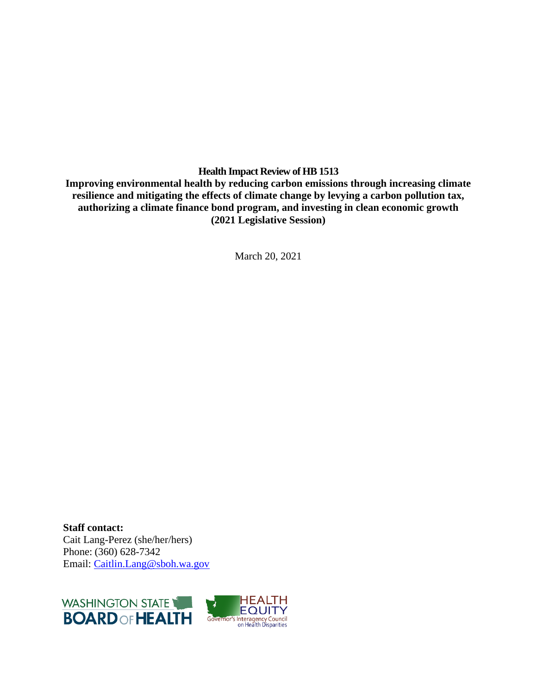**Health Impact Review of HB 1513**

**Improving environmental health by reducing carbon emissions through increasing climate resilience and mitigating the effects of climate change by levying a carbon pollution tax, authorizing a climate finance bond program, and investing in clean economic growth (2021 Legislative Session)**

March 20, 2021

**Staff contact:** Cait Lang-Perez (she/her/hers) Phone: (360) 628-7342 Email: [Caitlin.Lang@sboh.wa.gov](mailto:Caitlin.Lang@sboh.wa.gov)

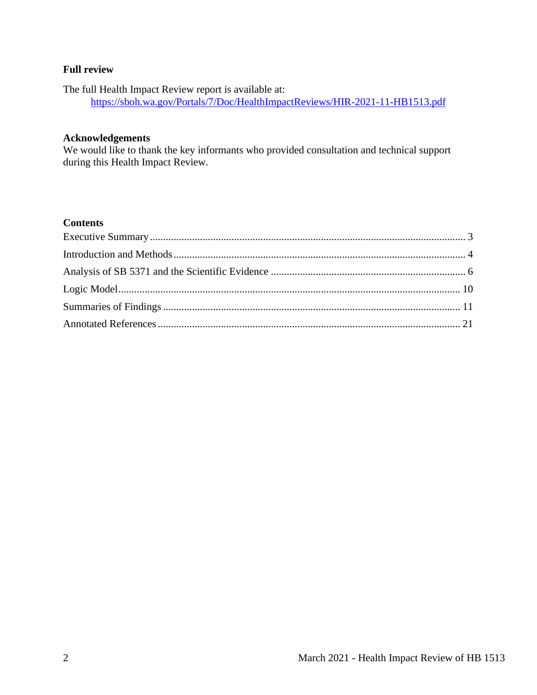### **Full review**

The full Health Impact Review report is available at: <https://sboh.wa.gov/Portals/7/Doc/HealthImpactReviews/HIR-2021-11-HB1513.pdf>

#### **Acknowledgements**

We would like to thank the key informants who provided consultation and technical support during this Health Impact Review.

### **Contents**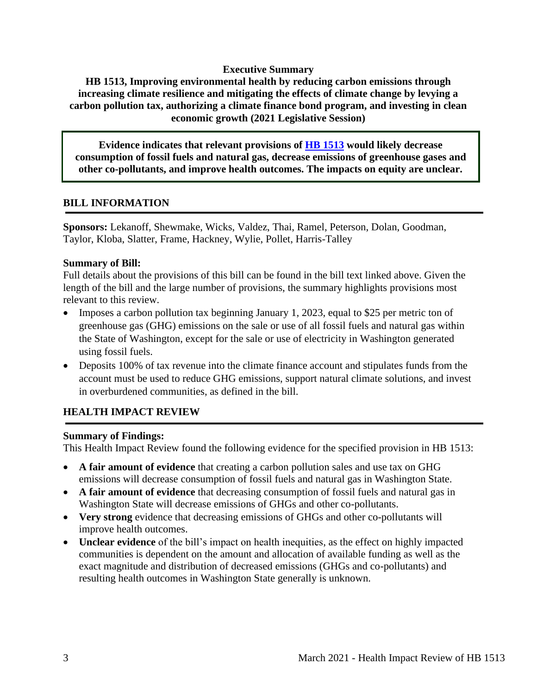#### **Executive Summary**

<span id="page-2-0"></span>**HB 1513, Improving environmental health by reducing carbon emissions through increasing climate resilience and mitigating the effects of climate change by levying a carbon pollution tax, authorizing a climate finance bond program, and investing in clean economic growth (2021 Legislative Session)**

**Evidence indicates that relevant provisions of [HB 1513](http://lawfilesext.leg.wa.gov/biennium/2021-22/Pdf/Bills/House%20Bills/1513.pdf?q=20210311143901) would likely decrease consumption of fossil fuels and natural gas, decrease emissions of greenhouse gases and other co-pollutants, and improve health outcomes. The impacts on equity are unclear.**

### **BILL INFORMATION**

**Sponsors:** Lekanoff, Shewmake, Wicks, Valdez, Thai, Ramel, Peterson, Dolan, Goodman, Taylor, Kloba, Slatter, Frame, Hackney, Wylie, Pollet, Harris-Talley

### **Summary of Bill:**

Full details about the provisions of this bill can be found in the bill text linked above. Given the length of the bill and the large number of provisions, the summary highlights provisions most relevant to this review.

- Imposes a carbon pollution tax beginning January 1, 2023, equal to \$25 per metric ton of greenhouse gas (GHG) emissions on the sale or use of all fossil fuels and natural gas within the State of Washington, except for the sale or use of electricity in Washington generated using fossil fuels.
- Deposits 100% of tax revenue into the climate finance account and stipulates funds from the account must be used to reduce GHG emissions, support natural climate solutions, and invest in overburdened communities, as defined in the bill.

### **HEALTH IMPACT REVIEW**

#### **Summary of Findings:**

This Health Impact Review found the following evidence for the specified provision in HB 1513:

- **A fair amount of evidence** that creating a carbon pollution sales and use tax on GHG emissions will decrease consumption of fossil fuels and natural gas in Washington State.
- **A fair amount of evidence** that decreasing consumption of fossil fuels and natural gas in Washington State will decrease emissions of GHGs and other co-pollutants.
- **Very strong** evidence that decreasing emissions of GHGs and other co-pollutants will improve health outcomes.
- **Unclear evidence** of the bill's impact on health inequities, as the effect on highly impacted communities is dependent on the amount and allocation of available funding as well as the exact magnitude and distribution of decreased emissions (GHGs and co-pollutants) and resulting health outcomes in Washington State generally is unknown.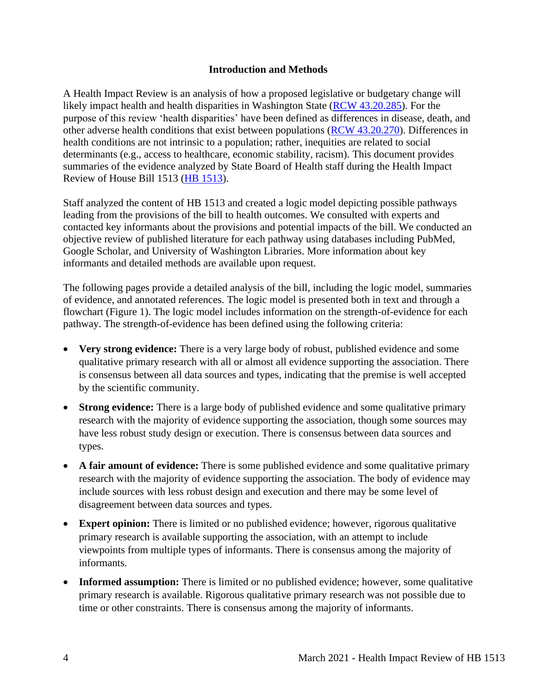### **Introduction and Methods**

<span id="page-3-0"></span>A Health Impact Review is an analysis of how a proposed legislative or budgetary change will likely impact health and health disparities in Washington State [\(RCW 43.20.285\)](http://apps.leg.wa.gov/rcw/default.aspx?cite=43.20.285). For the purpose of this review 'health disparities' have been defined as differences in disease, death, and other adverse health conditions that exist between populations [\(RCW 43.20.270\)](http://apps.leg.wa.gov/rcw/default.aspx?cite=43.20.270). Differences in health conditions are not intrinsic to a population; rather, inequities are related to social determinants (e.g., access to healthcare, economic stability, racism). This document provides summaries of the evidence analyzed by State Board of Health staff during the Health Impact Review of House Bill 1513 [\(HB 1513\)](https://app.leg.wa.gov/billsummary?BillNumber=1513&Initiative=false&Year=2021).

Staff analyzed the content of HB 1513 and created a logic model depicting possible pathways leading from the provisions of the bill to health outcomes. We consulted with experts and contacted key informants about the provisions and potential impacts of the bill. We conducted an objective review of published literature for each pathway using databases including PubMed, Google Scholar, and University of Washington Libraries. More information about key informants and detailed methods are available upon request.

The following pages provide a detailed analysis of the bill, including the logic model, summaries of evidence, and annotated references. The logic model is presented both in text and through a flowchart (Figure 1). The logic model includes information on the strength-of-evidence for each pathway. The strength-of-evidence has been defined using the following criteria:

- **Very strong evidence:** There is a very large body of robust, published evidence and some qualitative primary research with all or almost all evidence supporting the association. There is consensus between all data sources and types, indicating that the premise is well accepted by the scientific community.
- **Strong evidence:** There is a large body of published evidence and some qualitative primary research with the majority of evidence supporting the association, though some sources may have less robust study design or execution. There is consensus between data sources and types.
- A fair amount of evidence: There is some published evidence and some qualitative primary research with the majority of evidence supporting the association. The body of evidence may include sources with less robust design and execution and there may be some level of disagreement between data sources and types.
- **Expert opinion:** There is limited or no published evidence; however, rigorous qualitative primary research is available supporting the association, with an attempt to include viewpoints from multiple types of informants. There is consensus among the majority of informants.
- **Informed assumption:** There is limited or no published evidence; however, some qualitative primary research is available. Rigorous qualitative primary research was not possible due to time or other constraints. There is consensus among the majority of informants.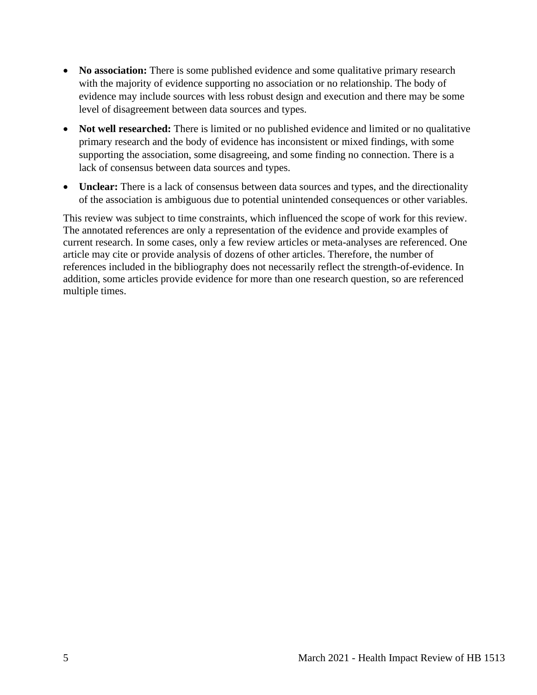- **No association:** There is some published evidence and some qualitative primary research with the majority of evidence supporting no association or no relationship. The body of evidence may include sources with less robust design and execution and there may be some level of disagreement between data sources and types.
- **Not well researched:** There is limited or no published evidence and limited or no qualitative primary research and the body of evidence has inconsistent or mixed findings, with some supporting the association, some disagreeing, and some finding no connection. There is a lack of consensus between data sources and types.
- **Unclear:** There is a lack of consensus between data sources and types, and the directionality of the association is ambiguous due to potential unintended consequences or other variables.

This review was subject to time constraints, which influenced the scope of work for this review. The annotated references are only a representation of the evidence and provide examples of current research. In some cases, only a few review articles or meta-analyses are referenced. One article may cite or provide analysis of dozens of other articles. Therefore, the number of references included in the bibliography does not necessarily reflect the strength-of-evidence. In addition, some articles provide evidence for more than one research question, so are referenced multiple times.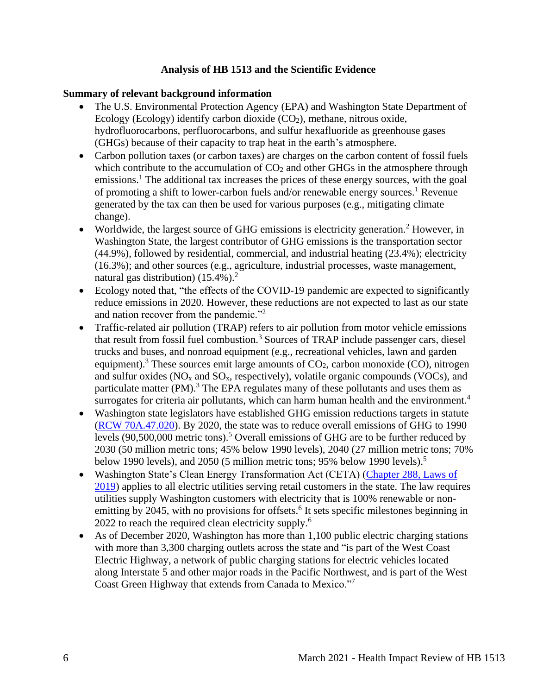### **Analysis of HB 1513 and the Scientific Evidence**

#### <span id="page-5-0"></span>**Summary of relevant background information**

- The U.S. Environmental Protection Agency (EPA) and Washington State Department of Ecology (Ecology) identify carbon dioxide  $(CO<sub>2</sub>)$ , methane, nitrous oxide, hydrofluorocarbons, perfluorocarbons, and sulfur hexafluoride as greenhouse gases (GHGs) because of their capacity to trap heat in the earth's atmosphere.
- Carbon pollution taxes (or carbon taxes) are charges on the carbon content of fossil fuels which contribute to the accumulation of  $CO<sub>2</sub>$  and other GHGs in the atmosphere through emissions.<sup>1</sup> The additional tax increases the prices of these energy sources, with the goal of promoting a shift to lower-carbon fuels and/or renewable energy sources.<sup>1</sup> Revenue generated by the tax can then be used for various purposes (e.g., mitigating climate change).
- Worldwide, the largest source of GHG emissions is electricity generation.<sup>2</sup> However, in Washington State, the largest contributor of GHG emissions is the transportation sector (44.9%), followed by residential, commercial, and industrial heating (23.4%); electricity (16.3%); and other sources (e.g., agriculture, industrial processes, waste management, natural gas distribution)  $(15.4\%)$ .<sup>2</sup>
- Ecology noted that, "the effects of the COVID-19 pandemic are expected to significantly reduce emissions in 2020. However, these reductions are not expected to last as our state and nation recover from the pandemic."<sup>2</sup>
- Traffic-related air pollution (TRAP) refers to air pollution from motor vehicle emissions that result from fossil fuel combustion.<sup>3</sup> Sources of TRAP include passenger cars, diesel trucks and buses, and nonroad equipment (e.g., recreational vehicles, lawn and garden equipment).<sup>3</sup> These sources emit large amounts of  $CO<sub>2</sub>$ , carbon monoxide (CO), nitrogen and sulfur oxides  $(NO<sub>x</sub>$  and  $SO<sub>x</sub>$ , respectively), volatile organic compounds  $(VOCs)$ , and particulate matter (PM).<sup>3</sup> The EPA regulates many of these pollutants and uses them as surrogates for criteria air pollutants, which can harm human health and the environment.<sup>4</sup>
- Washington state legislators have established GHG emission reductions targets in statute [\(RCW 70A.47.020\)](https://app.leg.wa.gov/RCW/default.aspx?cite=70A.45.020). By 2020, the state was to reduce overall emissions of GHG to 1990 levels (90,500,000 metric tons).<sup>5</sup> Overall emissions of GHG are to be further reduced by 2030 (50 million metric tons; 45% below 1990 levels), 2040 (27 million metric tons; 70% below 1990 levels), and 2050 (5 million metric tons; 95% below 1990 levels).<sup>5</sup>
- Washington State's Clean Energy Transformation Act (CETA) (Chapter 288, Laws of [2019\)](https://lawfilesext.leg.wa.gov/biennium/2019-20/Pdf/Bills/Session%20Laws/Senate/5116-S2.SL.pdf) applies to all electric utilities serving retail customers in the state. The law requires utilities supply Washington customers with electricity that is 100% renewable or nonemitting by 2045, with no provisions for offsets.<sup>6</sup> It sets specific milestones beginning in 2022 to reach the required clean electricity supply.<sup>6</sup>
- As of December 2020, Washington has more than 1,100 public electric charging stations with more than 3,300 charging outlets across the state and "is part of the West Coast Electric Highway, a network of public charging stations for electric vehicles located along Interstate 5 and other major roads in the Pacific Northwest, and is part of the West Coast Green Highway that extends from Canada to Mexico."<sup>7</sup>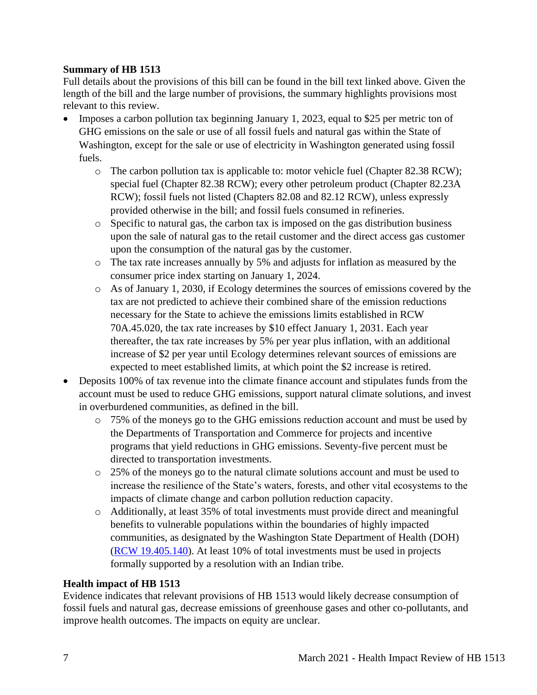## **Summary of HB 1513**

Full details about the provisions of this bill can be found in the bill text linked above. Given the length of the bill and the large number of provisions, the summary highlights provisions most relevant to this review.

- Imposes a carbon pollution tax beginning January 1, 2023, equal to \$25 per metric ton of GHG emissions on the sale or use of all fossil fuels and natural gas within the State of Washington, except for the sale or use of electricity in Washington generated using fossil fuels.
	- $\circ$  The carbon pollution tax is applicable to: motor vehicle fuel (Chapter 82.38 RCW); special fuel (Chapter 82.38 RCW); every other petroleum product (Chapter 82.23A RCW); fossil fuels not listed (Chapters 82.08 and 82.12 RCW), unless expressly provided otherwise in the bill; and fossil fuels consumed in refineries.
	- o Specific to natural gas, the carbon tax is imposed on the gas distribution business upon the sale of natural gas to the retail customer and the direct access gas customer upon the consumption of the natural gas by the customer.
	- o The tax rate increases annually by 5% and adjusts for inflation as measured by the consumer price index starting on January 1, 2024.
	- o As of January 1, 2030, if Ecology determines the sources of emissions covered by the tax are not predicted to achieve their combined share of the emission reductions necessary for the State to achieve the emissions limits established in RCW 70A.45.020, the tax rate increases by \$10 effect January 1, 2031. Each year thereafter, the tax rate increases by 5% per year plus inflation, with an additional increase of \$2 per year until Ecology determines relevant sources of emissions are expected to meet established limits, at which point the \$2 increase is retired.
- Deposits 100% of tax revenue into the climate finance account and stipulates funds from the account must be used to reduce GHG emissions, support natural climate solutions, and invest in overburdened communities, as defined in the bill.
	- o 75% of the moneys go to the GHG emissions reduction account and must be used by the Departments of Transportation and Commerce for projects and incentive programs that yield reductions in GHG emissions. Seventy-five percent must be directed to transportation investments.
	- o 25% of the moneys go to the natural climate solutions account and must be used to increase the resilience of the State's waters, forests, and other vital ecosystems to the impacts of climate change and carbon pollution reduction capacity.
	- o Additionally, at least 35% of total investments must provide direct and meaningful benefits to vulnerable populations within the boundaries of highly impacted communities, as designated by the Washington State Department of Health (DOH) [\(RCW 19.405.140\)](https://app.leg.wa.gov/RCW/default.aspx?cite=19.405.140). At least 10% of total investments must be used in projects formally supported by a resolution with an Indian tribe.

# **Health impact of HB 1513**

Evidence indicates that relevant provisions of HB 1513 would likely decrease consumption of fossil fuels and natural gas, decrease emissions of greenhouse gases and other co-pollutants, and improve health outcomes. The impacts on equity are unclear.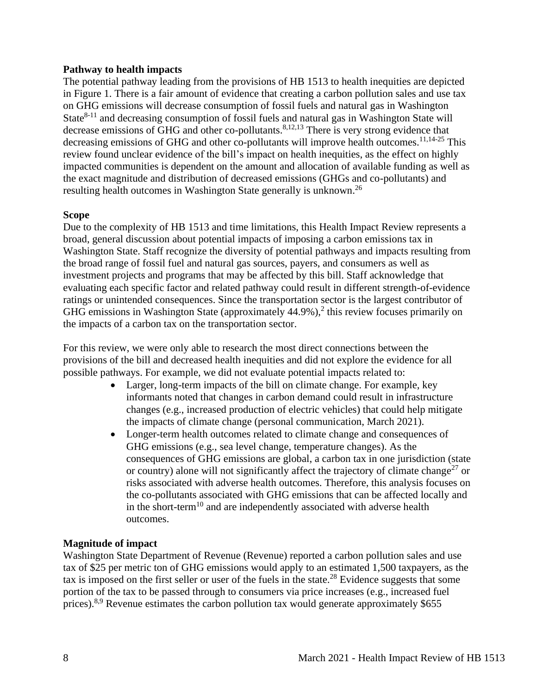#### **Pathway to health impacts**

The potential pathway leading from the provisions of HB 1513 to health inequities are depicted in Figure 1. There is a fair amount of evidence that creating a carbon pollution sales and use tax on GHG emissions will decrease consumption of fossil fuels and natural gas in Washington State $8-11$  and decreasing consumption of fossil fuels and natural gas in Washington State will decrease emissions of GHG and other co-pollutants.<sup>8,12,13</sup> There is very strong evidence that decreasing emissions of GHG and other co-pollutants will improve health outcomes.<sup>11,14-25</sup> This review found unclear evidence of the bill's impact on health inequities, as the effect on highly impacted communities is dependent on the amount and allocation of available funding as well as the exact magnitude and distribution of decreased emissions (GHGs and co-pollutants) and resulting health outcomes in Washington State generally is unknown.<sup>26</sup>

### **Scope**

Due to the complexity of HB 1513 and time limitations, this Health Impact Review represents a broad, general discussion about potential impacts of imposing a carbon emissions tax in Washington State. Staff recognize the diversity of potential pathways and impacts resulting from the broad range of fossil fuel and natural gas sources, payers, and consumers as well as investment projects and programs that may be affected by this bill. Staff acknowledge that evaluating each specific factor and related pathway could result in different strength-of-evidence ratings or unintended consequences. Since the transportation sector is the largest contributor of GHG emissions in Washington State (approximately  $44.9\%$ ),<sup>2</sup> this review focuses primarily on the impacts of a carbon tax on the transportation sector.

For this review, we were only able to research the most direct connections between the provisions of the bill and decreased health inequities and did not explore the evidence for all possible pathways. For example, we did not evaluate potential impacts related to:

- Larger, long-term impacts of the bill on climate change. For example, key informants noted that changes in carbon demand could result in infrastructure changes (e.g., increased production of electric vehicles) that could help mitigate the impacts of climate change (personal communication, March 2021).
- Longer-term health outcomes related to climate change and consequences of GHG emissions (e.g., sea level change, temperature changes). As the consequences of GHG emissions are global, a carbon tax in one jurisdiction (state or country) alone will not significantly affect the trajectory of climate change<sup>27</sup> or risks associated with adverse health outcomes. Therefore, this analysis focuses on the co-pollutants associated with GHG emissions that can be affected locally and in the short-term<sup>10</sup> and are independently associated with adverse health outcomes.

### **Magnitude of impact**

Washington State Department of Revenue (Revenue) reported a carbon pollution sales and use tax of \$25 per metric ton of GHG emissions would apply to an estimated 1,500 taxpayers, as the tax is imposed on the first seller or user of the fuels in the state.<sup>28</sup> Evidence suggests that some portion of the tax to be passed through to consumers via price increases (e.g., increased fuel prices).<sup>8,9</sup> Revenue estimates the carbon pollution tax would generate approximately \$655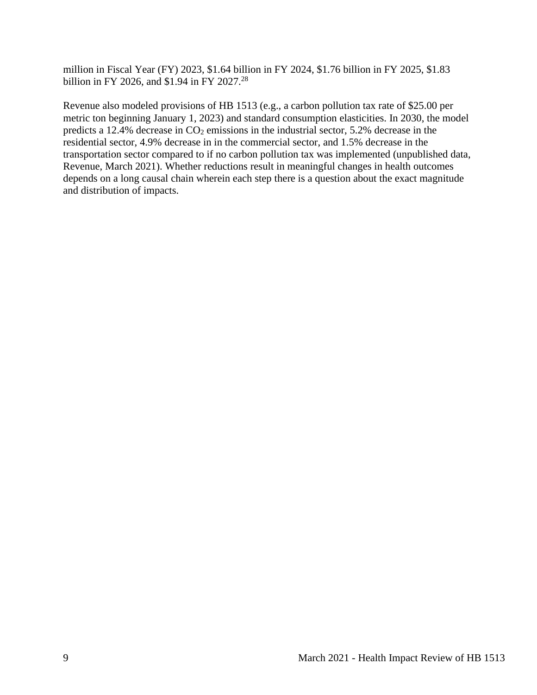million in Fiscal Year (FY) 2023, \$1.64 billion in FY 2024, \$1.76 billion in FY 2025, \$1.83 billion in FY 2026, and \$1.94 in FY 2027.<sup>28</sup>

Revenue also modeled provisions of HB 1513 (e.g., a carbon pollution tax rate of \$25.00 per metric ton beginning January 1, 2023) and standard consumption elasticities. In 2030, the model predicts a 12.4% decrease in  $CO<sub>2</sub>$  emissions in the industrial sector, 5.2% decrease in the residential sector, 4.9% decrease in in the commercial sector, and 1.5% decrease in the transportation sector compared to if no carbon pollution tax was implemented (unpublished data, Revenue, March 2021). Whether reductions result in meaningful changes in health outcomes depends on a long causal chain wherein each step there is a question about the exact magnitude and distribution of impacts.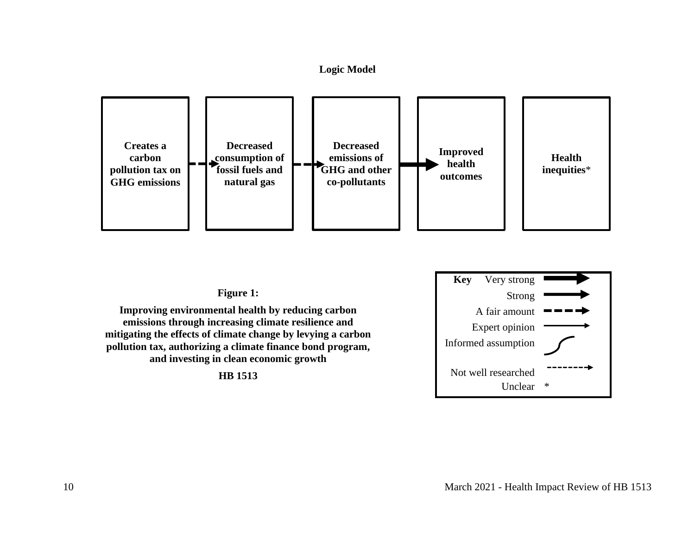



#### **Figure 1:**

<span id="page-9-0"></span>**Improving environmental health by reducing carbon emissions through increasing climate resilience and mitigating the effects of climate change by levying a carbon pollution tax, authorizing a climate finance bond program, and investing in clean economic growth**

**HB 1513**

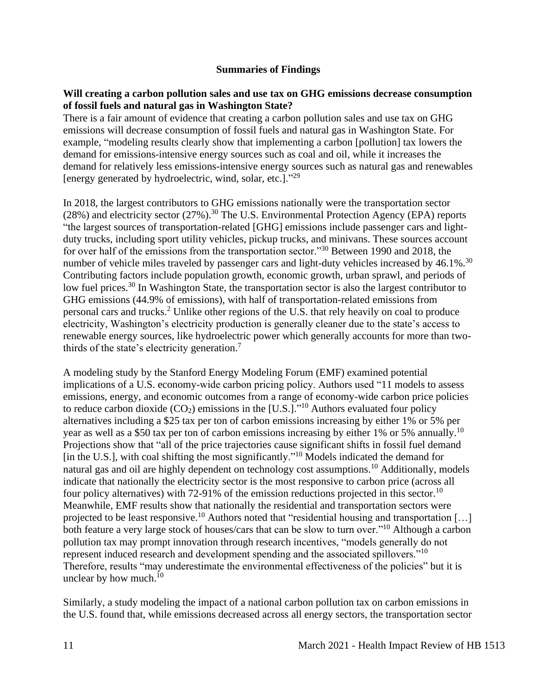### **Summaries of Findings**

### <span id="page-10-0"></span>**Will creating a carbon pollution sales and use tax on GHG emissions decrease consumption of fossil fuels and natural gas in Washington State?**

There is a fair amount of evidence that creating a carbon pollution sales and use tax on GHG emissions will decrease consumption of fossil fuels and natural gas in Washington State. For example, "modeling results clearly show that implementing a carbon [pollution] tax lowers the demand for emissions-intensive energy sources such as coal and oil, while it increases the demand for relatively less emissions-intensive energy sources such as natural gas and renewables [energy generated by hydroelectric, wind, solar, etc.]."<sup>29</sup>

In 2018, the largest contributors to GHG emissions nationally were the transportation sector (28%) and electricity sector (27%).<sup>30</sup> The U.S. Environmental Protection Agency (EPA) reports "the largest sources of transportation-related [GHG] emissions include passenger cars and lightduty trucks, including sport utility vehicles, pickup trucks, and minivans. These sources account for over half of the emissions from the transportation sector."<sup>30</sup> Between 1990 and 2018, the number of vehicle miles traveled by passenger cars and light-duty vehicles increased by  $46.1\%$ .<sup>30</sup> Contributing factors include population growth, economic growth, urban sprawl, and periods of low fuel prices.<sup>30</sup> In Washington State, the transportation sector is also the largest contributor to GHG emissions (44.9% of emissions), with half of transportation-related emissions from personal cars and trucks.<sup>2</sup> Unlike other regions of the U.S. that rely heavily on coal to produce electricity, Washington's electricity production is generally cleaner due to the state's access to renewable energy sources, like hydroelectric power which generally accounts for more than twothirds of the state's electricity generation.<sup>7</sup>

A modeling study by the Stanford Energy Modeling Forum (EMF) examined potential implications of a U.S. economy-wide carbon pricing policy. Authors used "11 models to assess emissions, energy, and economic outcomes from a range of economy-wide carbon price policies to reduce carbon dioxide  $(CO_2)$  emissions in the [U.S.]."<sup>10</sup> Authors evaluated four policy alternatives including a \$25 tax per ton of carbon emissions increasing by either 1% or 5% per year as well as a \$50 tax per ton of carbon emissions increasing by either 1% or 5% annually.<sup>10</sup> Projections show that "all of the price trajectories cause significant shifts in fossil fuel demand [in the U.S.], with coal shifting the most significantly."<sup>10</sup> Models indicated the demand for natural gas and oil are highly dependent on technology cost assumptions.<sup>10</sup> Additionally, models indicate that nationally the electricity sector is the most responsive to carbon price (across all four policy alternatives) with 72-91% of the emission reductions projected in this sector.<sup>10</sup> Meanwhile, EMF results show that nationally the residential and transportation sectors were projected to be least responsive.<sup>10</sup> Authors noted that "residential housing and transportation [...] both feature a very large stock of houses/cars that can be slow to turn over."<sup>10</sup> Although a carbon pollution tax may prompt innovation through research incentives, "models generally do not represent induced research and development spending and the associated spillovers."<sup>10</sup> Therefore, results "may underestimate the environmental effectiveness of the policies" but it is unclear by how much. $10$ 

Similarly, a study modeling the impact of a national carbon pollution tax on carbon emissions in the U.S. found that, while emissions decreased across all energy sectors, the transportation sector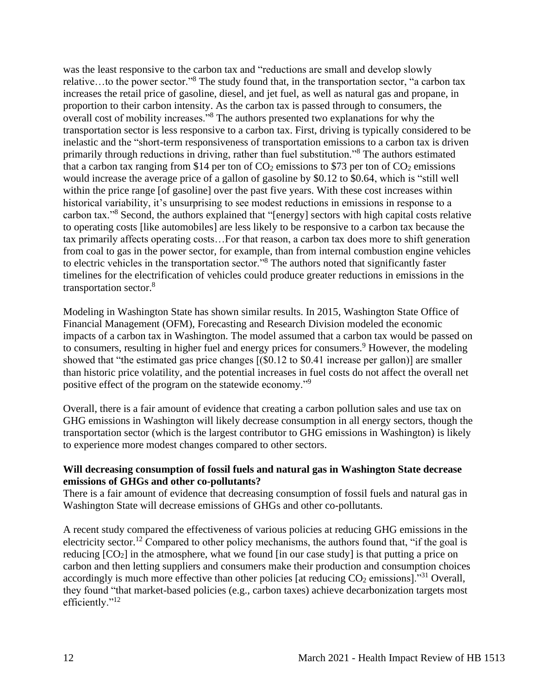was the least responsive to the carbon tax and "reductions are small and develop slowly relative…to the power sector."<sup>8</sup> The study found that, in the transportation sector, "a carbon tax increases the retail price of gasoline, diesel, and jet fuel, as well as natural gas and propane, in proportion to their carbon intensity. As the carbon tax is passed through to consumers, the overall cost of mobility increases."<sup>8</sup> The authors presented two explanations for why the transportation sector is less responsive to a carbon tax. First, driving is typically considered to be inelastic and the "short-term responsiveness of transportation emissions to a carbon tax is driven primarily through reductions in driving, rather than fuel substitution."<sup>8</sup> The authors estimated that a carbon tax ranging from \$14 per ton of  $CO_2$  emissions to \$73 per ton of  $CO_2$  emissions would increase the average price of a gallon of gasoline by \$0.12 to \$0.64, which is "still well within the price range [of gasoline] over the past five years. With these cost increases within historical variability, it's unsurprising to see modest reductions in emissions in response to a carbon tax."<sup>8</sup> Second, the authors explained that "[energy] sectors with high capital costs relative to operating costs [like automobiles] are less likely to be responsive to a carbon tax because the tax primarily affects operating costs…For that reason, a carbon tax does more to shift generation from coal to gas in the power sector, for example, than from internal combustion engine vehicles to electric vehicles in the transportation sector."<sup>8</sup> The authors noted that significantly faster timelines for the electrification of vehicles could produce greater reductions in emissions in the transportation sector.<sup>8</sup>

Modeling in Washington State has shown similar results. In 2015, Washington State Office of Financial Management (OFM), Forecasting and Research Division modeled the economic impacts of a carbon tax in Washington. The model assumed that a carbon tax would be passed on to consumers, resulting in higher fuel and energy prices for consumers.<sup>9</sup> However, the modeling showed that "the estimated gas price changes [(\$0.12 to \$0.41 increase per gallon)] are smaller than historic price volatility, and the potential increases in fuel costs do not affect the overall net positive effect of the program on the statewide economy."<sup>9</sup>

Overall, there is a fair amount of evidence that creating a carbon pollution sales and use tax on GHG emissions in Washington will likely decrease consumption in all energy sectors, though the transportation sector (which is the largest contributor to GHG emissions in Washington) is likely to experience more modest changes compared to other sectors.

### **Will decreasing consumption of fossil fuels and natural gas in Washington State decrease emissions of GHGs and other co-pollutants?**

There is a fair amount of evidence that decreasing consumption of fossil fuels and natural gas in Washington State will decrease emissions of GHGs and other co-pollutants.

A recent study compared the effectiveness of various policies at reducing GHG emissions in the electricity sector.<sup>12</sup> Compared to other policy mechanisms, the authors found that, "if the goal is reducing  $[CO_2]$  in the atmosphere, what we found  $[$ in our case study $]$  is that putting a price on carbon and then letting suppliers and consumers make their production and consumption choices accordingly is much more effective than other policies [at reducing  $CO<sub>2</sub>$  emissions].<sup>"31</sup> Overall, they found "that market-based policies (e.g., carbon taxes) achieve decarbonization targets most efficiently." $^{12}$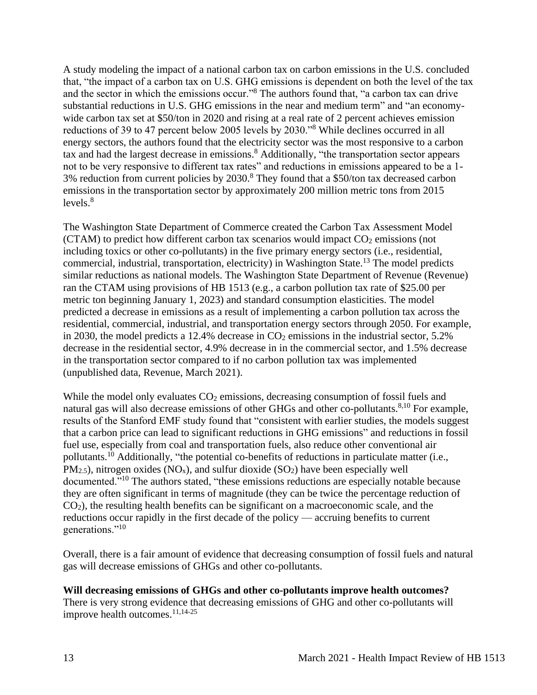A study modeling the impact of a national carbon tax on carbon emissions in the U.S. concluded that, "the impact of a carbon tax on U.S. GHG emissions is dependent on both the level of the tax and the sector in which the emissions occur."<sup>8</sup> The authors found that, "a carbon tax can drive substantial reductions in U.S. GHG emissions in the near and medium term" and "an economywide carbon tax set at \$50/ton in 2020 and rising at a real rate of 2 percent achieves emission reductions of 39 to 47 percent below 2005 levels by 2030."<sup>8</sup> While declines occurred in all energy sectors, the authors found that the electricity sector was the most responsive to a carbon tax and had the largest decrease in emissions.<sup>8</sup> Additionally, "the transportation sector appears not to be very responsive to different tax rates" and reductions in emissions appeared to be a 1- 3% reduction from current policies by 2030.<sup>8</sup> They found that a \$50/ton tax decreased carbon emissions in the transportation sector by approximately 200 million metric tons from 2015 levels. $8$ 

The Washington State Department of Commerce created the Carbon Tax Assessment Model (CTAM) to predict how different carbon tax scenarios would impact  $CO<sub>2</sub>$  emissions (not including toxics or other co-pollutants) in the five primary energy sectors (i.e., residential, commercial, industrial, transportation, electricity) in Washington State.<sup>13</sup> The model predicts similar reductions as national models. The Washington State Department of Revenue (Revenue) ran the CTAM using provisions of HB 1513 (e.g., a carbon pollution tax rate of \$25.00 per metric ton beginning January 1, 2023) and standard consumption elasticities. The model predicted a decrease in emissions as a result of implementing a carbon pollution tax across the residential, commercial, industrial, and transportation energy sectors through 2050. For example, in 2030, the model predicts a 12.4% decrease in  $CO<sub>2</sub>$  emissions in the industrial sector, 5.2% decrease in the residential sector, 4.9% decrease in in the commercial sector, and 1.5% decrease in the transportation sector compared to if no carbon pollution tax was implemented (unpublished data, Revenue, March 2021).

While the model only evaluates  $CO<sub>2</sub>$  emissions, decreasing consumption of fossil fuels and natural gas will also decrease emissions of other GHGs and other co-pollutants.<sup>8,10</sup> For example, results of the Stanford EMF study found that "consistent with earlier studies, the models suggest that a carbon price can lead to significant reductions in GHG emissions" and reductions in fossil fuel use, especially from coal and transportation fuels, also reduce other conventional air pollutants.<sup>10</sup> Additionally, "the potential co-benefits of reductions in particulate matter (i.e.,  $PM_{2.5}$ ), nitrogen oxides (NO<sub>x</sub>), and sulfur dioxide (SO<sub>2</sub>) have been especially well documented."<sup>10</sup> The authors stated, "these emissions reductions are especially notable because they are often significant in terms of magnitude (they can be twice the percentage reduction of CO2), the resulting health benefits can be significant on a macroeconomic scale, and the reductions occur rapidly in the first decade of the policy — accruing benefits to current generations."<sup>10</sup>

Overall, there is a fair amount of evidence that decreasing consumption of fossil fuels and natural gas will decrease emissions of GHGs and other co-pollutants.

# **Will decreasing emissions of GHGs and other co-pollutants improve health outcomes?**

There is very strong evidence that decreasing emissions of GHG and other co-pollutants will improve health outcomes. 11,14-25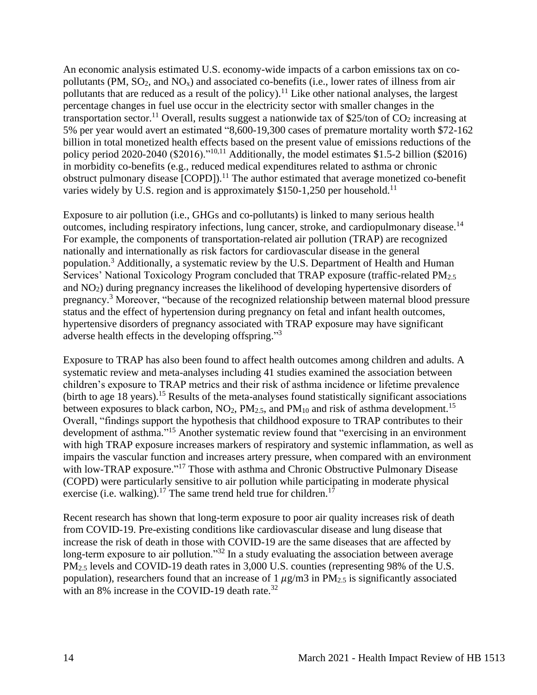An economic analysis estimated U.S. economy-wide impacts of a carbon emissions tax on copollutants (PM,  $SO_2$ , and  $NO_x$ ) and associated co-benefits (i.e., lower rates of illness from air pollutants that are reduced as a result of the policy).<sup>11</sup> Like other national analyses, the largest percentage changes in fuel use occur in the electricity sector with smaller changes in the transportation sector.<sup>11</sup> Overall, results suggest a nationwide tax of \$25/ton of  $CO<sub>2</sub>$  increasing at 5% per year would avert an estimated "8,600-19,300 cases of premature mortality worth \$72-162 billion in total monetized health effects based on the present value of emissions reductions of the policy period 2020-2040 (\$2016)."10,11 Additionally, the model estimates \$1.5-2 billion (\$2016) in morbidity co-benefits (e.g., reduced medical expenditures related to asthma or chronic obstruct pulmonary disease [COPD]).<sup>11</sup> The author estimated that average monetized co-benefit varies widely by U.S. region and is approximately \$150-1,250 per household.<sup>11</sup>

Exposure to air pollution (i.e., GHGs and co-pollutants) is linked to many serious health outcomes, including respiratory infections, lung cancer, stroke, and cardiopulmonary disease.<sup>14</sup> For example, the components of transportation-related air pollution (TRAP) are recognized nationally and internationally as risk factors for cardiovascular disease in the general population.<sup>3</sup> Additionally, a systematic review by the U.S. Department of Health and Human Services' National Toxicology Program concluded that TRAP exposure (traffic-related PM<sub>2.5</sub> and NO2) during pregnancy increases the likelihood of developing hypertensive disorders of pregnancy.<sup>3</sup> Moreover, "because of the recognized relationship between maternal blood pressure status and the effect of hypertension during pregnancy on fetal and infant health outcomes, hypertensive disorders of pregnancy associated with TRAP exposure may have significant adverse health effects in the developing offspring."<sup>3</sup>

Exposure to TRAP has also been found to affect health outcomes among children and adults. A systematic review and meta-analyses including 41 studies examined the association between children's exposure to TRAP metrics and their risk of asthma incidence or lifetime prevalence  $(birth to age 18 years).$ <sup>15</sup> Results of the meta-analyses found statistically significant associations between exposures to black carbon,  $NO_2$ ,  $PM_{2.5}$ , and  $PM_{10}$  and risk of asthma development.<sup>15</sup> Overall, "findings support the hypothesis that childhood exposure to TRAP contributes to their development of asthma."<sup>15</sup> Another systematic review found that "exercising in an environment with high TRAP exposure increases markers of respiratory and systemic inflammation, as well as impairs the vascular function and increases artery pressure, when compared with an environment with low-TRAP exposure."<sup>17</sup> Those with asthma and Chronic Obstructive Pulmonary Disease (COPD) were particularly sensitive to air pollution while participating in moderate physical exercise (i.e. walking).<sup>17</sup> The same trend held true for children.<sup>17</sup>

Recent research has shown that long-term exposure to poor air quality increases risk of death from COVID-19. Pre-existing conditions like cardiovascular disease and lung disease that increase the risk of death in those with COVID-19 are the same diseases that are affected by long-term exposure to air pollution."<sup>32</sup> In a study evaluating the association between average PM2.5 levels and COVID-19 death rates in 3,000 U.S. counties (representing 98% of the U.S. population), researchers found that an increase of 1  $\mu$ g/m3 in PM<sub>2.5</sub> is significantly associated with an 8% increase in the COVID-19 death rate. $32$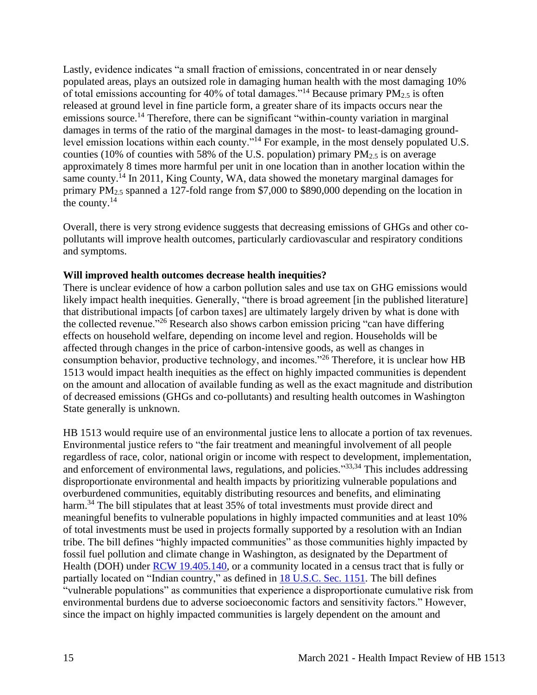Lastly, evidence indicates "a small fraction of emissions, concentrated in or near densely populated areas, plays an outsized role in damaging human health with the most damaging 10% of total emissions accounting for 40% of total damages."<sup>14</sup> Because primary  $PM_{2.5}$  is often released at ground level in fine particle form, a greater share of its impacts occurs near the emissions source.<sup>14</sup> Therefore, there can be significant "within-county variation in marginal damages in terms of the ratio of the marginal damages in the most- to least-damaging groundlevel emission locations within each county."<sup>14</sup> For example, in the most densely populated U.S. counties (10% of counties with 58% of the U.S. population) primary  $PM_{2.5}$  is on average approximately 8 times more harmful per unit in one location than in another location within the same county.<sup>14</sup> In 2011, King County, WA, data showed the monetary marginal damages for primary PM2.5 spanned a 127-fold range from \$7,000 to \$890,000 depending on the location in the county.<sup>14</sup>

Overall, there is very strong evidence suggests that decreasing emissions of GHGs and other copollutants will improve health outcomes, particularly cardiovascular and respiratory conditions and symptoms.

#### **Will improved health outcomes decrease health inequities?**

There is unclear evidence of how a carbon pollution sales and use tax on GHG emissions would likely impact health inequities. Generally, "there is broad agreement [in the published literature] that distributional impacts [of carbon taxes] are ultimately largely driven by what is done with the collected revenue."<sup>26</sup> Research also shows carbon emission pricing "can have differing effects on household welfare, depending on income level and region. Households will be affected through changes in the price of carbon-intensive goods, as well as changes in consumption behavior, productive technology, and incomes."<sup>26</sup> Therefore, it is unclear how HB 1513 would impact health inequities as the effect on highly impacted communities is dependent on the amount and allocation of available funding as well as the exact magnitude and distribution of decreased emissions (GHGs and co-pollutants) and resulting health outcomes in Washington State generally is unknown.

HB 1513 would require use of an environmental justice lens to allocate a portion of tax revenues. Environmental justice refers to "the fair treatment and meaningful involvement of all people regardless of race, color, national origin or income with respect to development, implementation, and enforcement of environmental laws, regulations, and policies."33,34 This includes addressing disproportionate environmental and health impacts by prioritizing vulnerable populations and overburdened communities, equitably distributing resources and benefits, and eliminating harm.<sup>34</sup> The bill stipulates that at least 35% of total investments must provide direct and meaningful benefits to vulnerable populations in highly impacted communities and at least 10% of total investments must be used in projects formally supported by a resolution with an Indian tribe. The bill defines "highly impacted communities" as those communities highly impacted by fossil fuel pollution and climate change in Washington, as designated by the Department of Health (DOH) under **RCW** 19.405.140, or a community located in a census tract that is fully or partially located on "Indian country," as defined in **18 U.S.C. Sec. 1151**. The bill defines "vulnerable populations" as communities that experience a disproportionate cumulative risk from environmental burdens due to adverse socioeconomic factors and sensitivity factors." However, since the impact on highly impacted communities is largely dependent on the amount and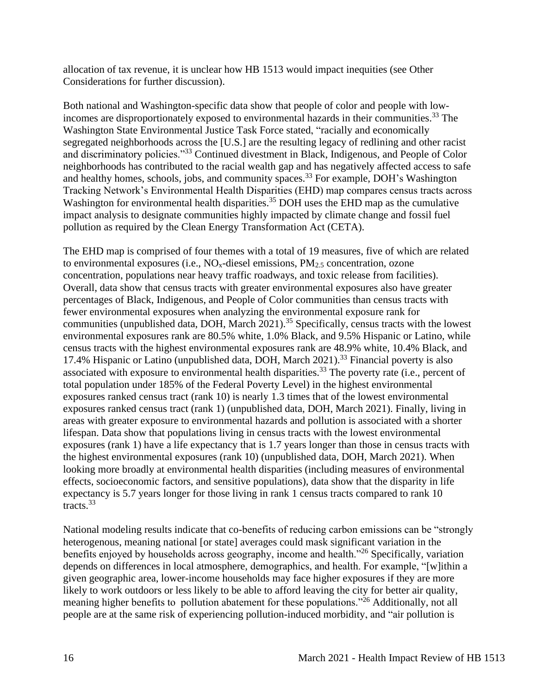allocation of tax revenue, it is unclear how HB 1513 would impact inequities (see Other Considerations for further discussion).

Both national and Washington-specific data show that people of color and people with lowincomes are disproportionately exposed to environmental hazards in their communities.<sup>33</sup> The Washington State Environmental Justice Task Force stated, "racially and economically segregated neighborhoods across the [U.S.] are the resulting legacy of redlining and other racist and discriminatory policies."<sup>33</sup> Continued divestment in Black, Indigenous, and People of Color neighborhoods has contributed to the racial wealth gap and has negatively affected access to safe and healthy homes, schools, jobs, and community spaces.<sup>33</sup> For example, DOH's Washington Tracking Network's Environmental Health Disparities (EHD) map compares census tracts across Washington for environmental health disparities.<sup>35</sup> DOH uses the EHD map as the cumulative impact analysis to designate communities highly impacted by climate change and fossil fuel pollution as required by the Clean Energy Transformation Act (CETA).

The EHD map is comprised of four themes with a total of 19 measures, five of which are related to environmental exposures (i.e.,  $NO<sub>x</sub>$ -diesel emissions,  $PM<sub>2.5</sub>$  concentration, ozone concentration, populations near heavy traffic roadways, and toxic release from facilities). Overall, data show that census tracts with greater environmental exposures also have greater percentages of Black, Indigenous, and People of Color communities than census tracts with fewer environmental exposures when analyzing the environmental exposure rank for communities (unpublished data, DOH, March 2021).<sup>35</sup> Specifically, census tracts with the lowest environmental exposures rank are 80.5% white, 1.0% Black, and 9.5% Hispanic or Latino, while census tracts with the highest environmental exposures rank are 48.9% white, 10.4% Black, and 17.4% Hispanic or Latino (unpublished data, DOH, March 2021).<sup>33</sup> Financial poverty is also associated with exposure to environmental health disparities.<sup>33</sup> The poverty rate (i.e., percent of total population under 185% of the Federal Poverty Level) in the highest environmental exposures ranked census tract (rank 10) is nearly 1.3 times that of the lowest environmental exposures ranked census tract (rank 1) (unpublished data, DOH, March 2021). Finally, living in areas with greater exposure to environmental hazards and pollution is associated with a shorter lifespan. Data show that populations living in census tracts with the lowest environmental exposures (rank 1) have a life expectancy that is 1.7 years longer than those in census tracts with the highest environmental exposures (rank 10) (unpublished data, DOH, March 2021). When looking more broadly at environmental health disparities (including measures of environmental effects, socioeconomic factors, and sensitive populations), data show that the disparity in life expectancy is 5.7 years longer for those living in rank 1 census tracts compared to rank 10 tracts.<sup>33</sup>

National modeling results indicate that co-benefits of reducing carbon emissions can be "strongly heterogenous, meaning national [or state] averages could mask significant variation in the benefits enjoyed by households across geography, income and health."<sup>26</sup> Specifically, variation depends on differences in local atmosphere, demographics, and health. For example, "[w]ithin a given geographic area, lower-income households may face higher exposures if they are more likely to work outdoors or less likely to be able to afford leaving the city for better air quality, meaning higher benefits to pollution abatement for these populations."<sup>26</sup> Additionally, not all people are at the same risk of experiencing pollution-induced morbidity, and "air pollution is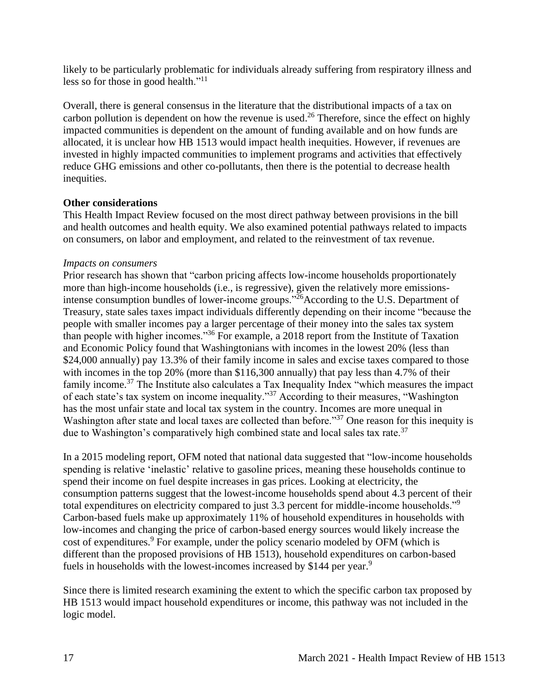likely to be particularly problematic for individuals already suffering from respiratory illness and less so for those in good health."<sup>11</sup>

Overall, there is general consensus in the literature that the distributional impacts of a tax on carbon pollution is dependent on how the revenue is used.<sup>26</sup> Therefore, since the effect on highly impacted communities is dependent on the amount of funding available and on how funds are allocated, it is unclear how HB 1513 would impact health inequities. However, if revenues are invested in highly impacted communities to implement programs and activities that effectively reduce GHG emissions and other co-pollutants, then there is the potential to decrease health inequities.

### **Other considerations**

This Health Impact Review focused on the most direct pathway between provisions in the bill and health outcomes and health equity. We also examined potential pathways related to impacts on consumers, on labor and employment, and related to the reinvestment of tax revenue.

#### *Impacts on consumers*

Prior research has shown that "carbon pricing affects low-income households proportionately more than high-income households (i.e., is regressive), given the relatively more emissionsintense consumption bundles of lower-income groups."<sup>26</sup>According to the U.S. Department of Treasury, state sales taxes impact individuals differently depending on their income "because the people with smaller incomes pay a larger percentage of their money into the sales tax system than people with higher incomes."<sup>36</sup> For example, a 2018 report from the Institute of Taxation and Economic Policy found that Washingtonians with incomes in the lowest 20% (less than \$24,000 annually) pay 13.3% of their family income in sales and excise taxes compared to those with incomes in the top 20% (more than \$116,300 annually) that pay less than 4.7% of their family income.<sup>37</sup> The Institute also calculates a Tax Inequality Index "which measures the impact of each state's tax system on income inequality."<sup>37</sup> According to their measures, "Washington has the most unfair state and local tax system in the country. Incomes are more unequal in Washington after state and local taxes are collected than before."<sup>37</sup> One reason for this inequity is due to Washington's comparatively high combined state and local sales tax rate.<sup>37</sup>

In a 2015 modeling report, OFM noted that national data suggested that "low-income households spending is relative 'inelastic' relative to gasoline prices, meaning these households continue to spend their income on fuel despite increases in gas prices. Looking at electricity, the consumption patterns suggest that the lowest-income households spend about 4.3 percent of their total expenditures on electricity compared to just 3.3 percent for middle-income households."<sup>9</sup> Carbon-based fuels make up approximately 11% of household expenditures in households with low-incomes and changing the price of carbon-based energy sources would likely increase the cost of expenditures.<sup>9</sup> For example, under the policy scenario modeled by OFM (which is different than the proposed provisions of HB 1513), household expenditures on carbon-based fuels in households with the lowest-incomes increased by \$144 per year.<sup>9</sup>

Since there is limited research examining the extent to which the specific carbon tax proposed by HB 1513 would impact household expenditures or income, this pathway was not included in the logic model.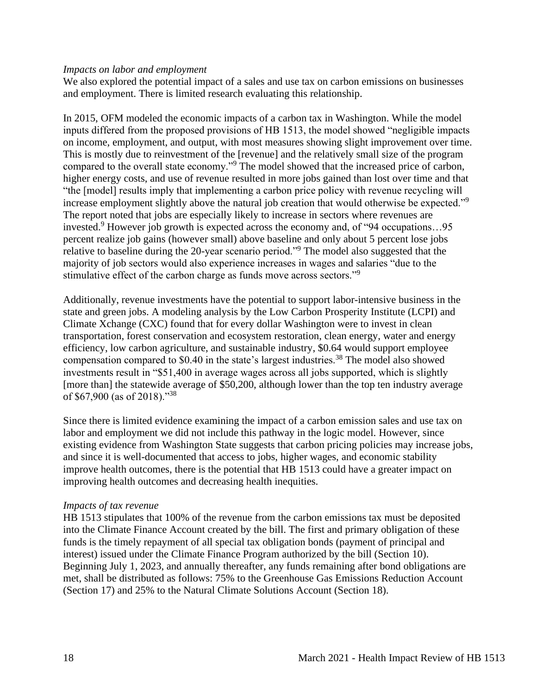#### *Impacts on labor and employment*

We also explored the potential impact of a sales and use tax on carbon emissions on businesses and employment. There is limited research evaluating this relationship.

In 2015, OFM modeled the economic impacts of a carbon tax in Washington. While the model inputs differed from the proposed provisions of HB 1513, the model showed "negligible impacts on income, employment, and output, with most measures showing slight improvement over time. This is mostly due to reinvestment of the [revenue] and the relatively small size of the program compared to the overall state economy."<sup>9</sup> The model showed that the increased price of carbon, higher energy costs, and use of revenue resulted in more jobs gained than lost over time and that "the [model] results imply that implementing a carbon price policy with revenue recycling will increase employment slightly above the natural job creation that would otherwise be expected."<sup>9</sup> The report noted that jobs are especially likely to increase in sectors where revenues are invested.<sup>9</sup> However job growth is expected across the economy and, of "94 occupations...95" percent realize job gains (however small) above baseline and only about 5 percent lose jobs relative to baseline during the 20-year scenario period."<sup>9</sup> The model also suggested that the majority of job sectors would also experience increases in wages and salaries "due to the stimulative effect of the carbon charge as funds move across sectors."<sup>9</sup>

Additionally, revenue investments have the potential to support labor-intensive business in the state and green jobs. A modeling analysis by the Low Carbon Prosperity Institute (LCPI) and Climate Xchange (CXC) found that for every dollar Washington were to invest in clean transportation, forest conservation and ecosystem restoration, clean energy, water and energy efficiency, low carbon agriculture, and sustainable industry, \$0.64 would support employee compensation compared to  $$0.40$  in the state's largest industries.<sup>38</sup> The model also showed investments result in "\$51,400 in average wages across all jobs supported, which is slightly [more than] the statewide average of \$50,200, although lower than the top ten industry average of \$67,900 (as of 2018)."<sup>38</sup>

Since there is limited evidence examining the impact of a carbon emission sales and use tax on labor and employment we did not include this pathway in the logic model. However, since existing evidence from Washington State suggests that carbon pricing policies may increase jobs, and since it is well-documented that access to jobs, higher wages, and economic stability improve health outcomes, there is the potential that HB 1513 could have a greater impact on improving health outcomes and decreasing health inequities.

#### *Impacts of tax revenue*

HB 1513 stipulates that 100% of the revenue from the carbon emissions tax must be deposited into the Climate Finance Account created by the bill. The first and primary obligation of these funds is the timely repayment of all special tax obligation bonds (payment of principal and interest) issued under the Climate Finance Program authorized by the bill (Section 10). Beginning July 1, 2023, and annually thereafter, any funds remaining after bond obligations are met, shall be distributed as follows: 75% to the Greenhouse Gas Emissions Reduction Account (Section 17) and 25% to the Natural Climate Solutions Account (Section 18).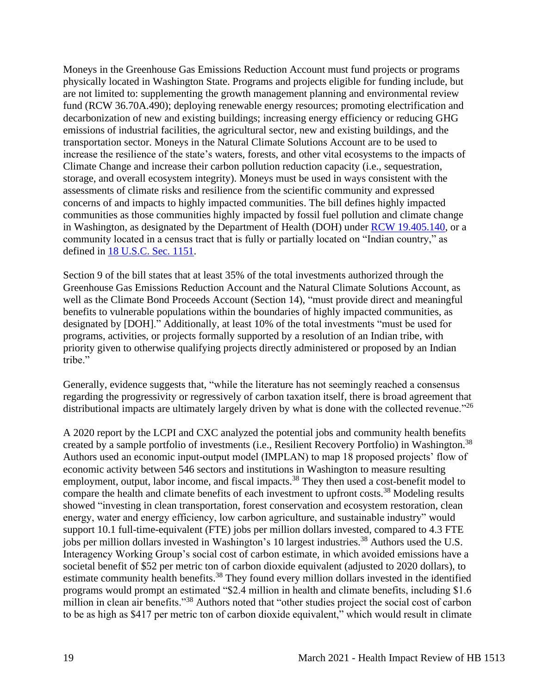Moneys in the Greenhouse Gas Emissions Reduction Account must fund projects or programs physically located in Washington State. Programs and projects eligible for funding include, but are not limited to: supplementing the growth management planning and environmental review fund (RCW 36.70A.490); deploying renewable energy resources; promoting electrification and decarbonization of new and existing buildings; increasing energy efficiency or reducing GHG emissions of industrial facilities, the agricultural sector, new and existing buildings, and the transportation sector. Moneys in the Natural Climate Solutions Account are to be used to increase the resilience of the state's waters, forests, and other vital ecosystems to the impacts of Climate Change and increase their carbon pollution reduction capacity (i.e., sequestration, storage, and overall ecosystem integrity). Moneys must be used in ways consistent with the assessments of climate risks and resilience from the scientific community and expressed concerns of and impacts to highly impacted communities. The bill defines highly impacted communities as those communities highly impacted by fossil fuel pollution and climate change in Washington, as designated by the Department of Health (DOH) under [RCW 19.405.140,](https://app.leg.wa.gov/RCW/default.aspx?cite=19.405.140) or a community located in a census tract that is fully or partially located on "Indian country," as defined in [18 U.S.C. Sec. 1151.](https://www.govinfo.gov/app/details/USCODE-2011-title18/USCODE-2011-title18-partI-chap53-sec1151)

Section 9 of the bill states that at least 35% of the total investments authorized through the Greenhouse Gas Emissions Reduction Account and the Natural Climate Solutions Account, as well as the Climate Bond Proceeds Account (Section 14), "must provide direct and meaningful benefits to vulnerable populations within the boundaries of highly impacted communities, as designated by [DOH]." Additionally, at least 10% of the total investments "must be used for programs, activities, or projects formally supported by a resolution of an Indian tribe, with priority given to otherwise qualifying projects directly administered or proposed by an Indian tribe."

Generally, evidence suggests that, "while the literature has not seemingly reached a consensus regarding the progressivity or regressively of carbon taxation itself, there is broad agreement that distributional impacts are ultimately largely driven by what is done with the collected revenue."<sup>26</sup>

A 2020 report by the LCPI and CXC analyzed the potential jobs and community health benefits created by a sample portfolio of investments (i.e., Resilient Recovery Portfolio) in Washington.<sup>38</sup> Authors used an economic input-output model (IMPLAN) to map 18 proposed projects' flow of economic activity between 546 sectors and institutions in Washington to measure resulting employment, output, labor income, and fiscal impacts.<sup>38</sup> They then used a cost-benefit model to compare the health and climate benefits of each investment to upfront costs.<sup>38</sup> Modeling results showed "investing in clean transportation, forest conservation and ecosystem restoration, clean energy, water and energy efficiency, low carbon agriculture, and sustainable industry" would support 10.1 full-time-equivalent (FTE) jobs per million dollars invested, compared to 4.3 FTE jobs per million dollars invested in Washington's 10 largest industries.<sup>38</sup> Authors used the U.S. Interagency Working Group's social cost of carbon estimate, in which avoided emissions have a societal benefit of \$52 per metric ton of carbon dioxide equivalent (adjusted to 2020 dollars), to estimate community health benefits.<sup>38</sup> They found every million dollars invested in the identified programs would prompt an estimated "\$2.4 million in health and climate benefits, including \$1.6 million in clean air benefits."<sup>38</sup> Authors noted that "other studies project the social cost of carbon to be as high as \$417 per metric ton of carbon dioxide equivalent," which would result in climate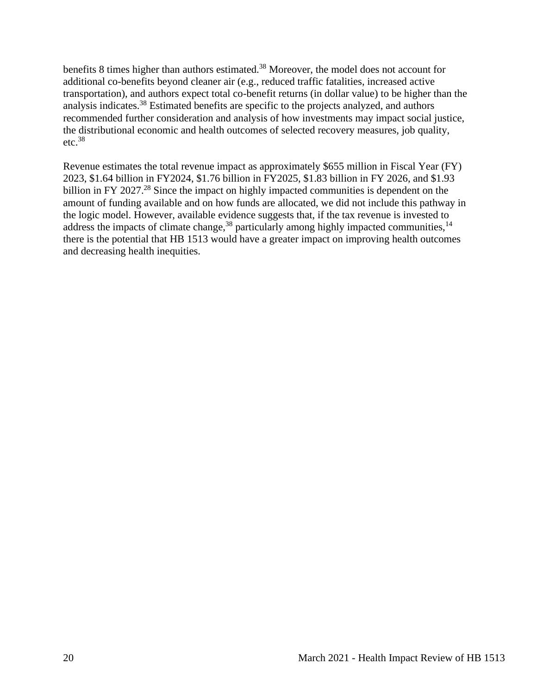benefits 8 times higher than authors estimated.<sup>38</sup> Moreover, the model does not account for additional co-benefits beyond cleaner air (e.g., reduced traffic fatalities, increased active transportation), and authors expect total co-benefit returns (in dollar value) to be higher than the analysis indicates.<sup>38</sup> Estimated benefits are specific to the projects analyzed, and authors recommended further consideration and analysis of how investments may impact social justice, the distributional economic and health outcomes of selected recovery measures, job quality,  $etc.<sup>38</sup>$ 

<span id="page-19-0"></span>Revenue estimates the total revenue impact as approximately \$655 million in Fiscal Year (FY) 2023, \$1.64 billion in FY2024, \$1.76 billion in FY2025, \$1.83 billion in FY 2026, and \$1.93 billion in FY 2027.<sup>28</sup> Since the impact on highly impacted communities is dependent on the amount of funding available and on how funds are allocated, we did not include this pathway in the logic model. However, available evidence suggests that, if the tax revenue is invested to address the impacts of climate change,  $38$  particularly among highly impacted communities,  $14$ there is the potential that HB 1513 would have a greater impact on improving health outcomes and decreasing health inequities.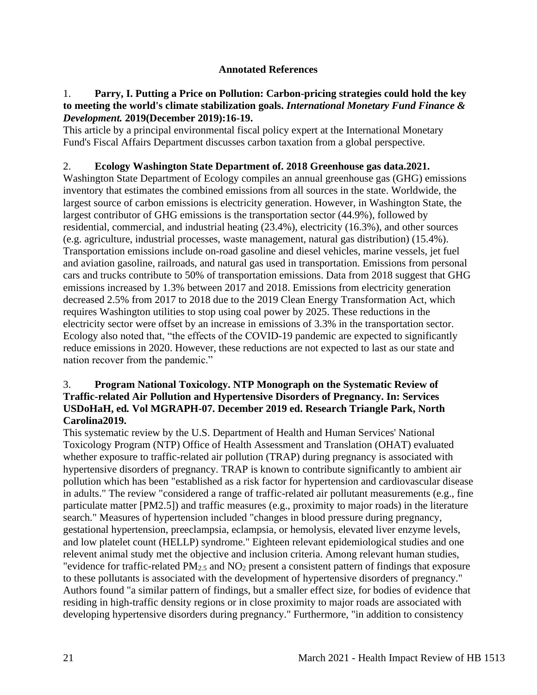### **Annotated References**

### 1. **Parry, I. Putting a Price on Pollution: Carbon-pricing strategies could hold the key to meeting the world's climate stabilization goals.** *International Monetary Fund Finance & Development.* **2019(December 2019):16-19.**

This article by a principal environmental fiscal policy expert at the International Monetary Fund's Fiscal Affairs Department discusses carbon taxation from a global perspective.

## 2. **Ecology Washington State Department of. 2018 Greenhouse gas data.2021.**

Washington State Department of Ecology compiles an annual greenhouse gas (GHG) emissions inventory that estimates the combined emissions from all sources in the state. Worldwide, the largest source of carbon emissions is electricity generation. However, in Washington State, the largest contributor of GHG emissions is the transportation sector (44.9%), followed by residential, commercial, and industrial heating (23.4%), electricity (16.3%), and other sources (e.g. agriculture, industrial processes, waste management, natural gas distribution) (15.4%). Transportation emissions include on-road gasoline and diesel vehicles, marine vessels, jet fuel and aviation gasoline, railroads, and natural gas used in transportation. Emissions from personal cars and trucks contribute to 50% of transportation emissions. Data from 2018 suggest that GHG emissions increased by 1.3% between 2017 and 2018. Emissions from electricity generation decreased 2.5% from 2017 to 2018 due to the 2019 Clean Energy Transformation Act, which requires Washington utilities to stop using coal power by 2025. These reductions in the electricity sector were offset by an increase in emissions of 3.3% in the transportation sector. Ecology also noted that, "the effects of the COVID-19 pandemic are expected to significantly reduce emissions in 2020. However, these reductions are not expected to last as our state and nation recover from the pandemic."

### 3. **Program National Toxicology. NTP Monograph on the Systematic Review of Traffic-related Air Pollution and Hypertensive Disorders of Pregnancy. In: Services USDoHaH, ed***.* **Vol MGRAPH-07. December 2019 ed. Research Triangle Park, North Carolina2019.**

This systematic review by the U.S. Department of Health and Human Services' National Toxicology Program (NTP) Office of Health Assessment and Translation (OHAT) evaluated whether exposure to traffic-related air pollution (TRAP) during pregnancy is associated with hypertensive disorders of pregnancy. TRAP is known to contribute significantly to ambient air pollution which has been "established as a risk factor for hypertension and cardiovascular disease in adults." The review "considered a range of traffic-related air pollutant measurements (e.g., fine particulate matter [PM2.5]) and traffic measures (e.g., proximity to major roads) in the literature search." Measures of hypertension included "changes in blood pressure during pregnancy, gestational hypertension, preeclampsia, eclampsia, or hemolysis, elevated liver enzyme levels, and low platelet count (HELLP) syndrome." Eighteen relevant epidemiological studies and one relevent animal study met the objective and inclusion criteria. Among relevant human studies, "evidence for traffic-related PM2.5 and NO<sup>2</sup> present a consistent pattern of findings that exposure to these pollutants is associated with the development of hypertensive disorders of pregnancy." Authors found "a similar pattern of findings, but a smaller effect size, for bodies of evidence that residing in high-traffic density regions or in close proximity to major roads are associated with developing hypertensive disorders during pregnancy." Furthermore, "in addition to consistency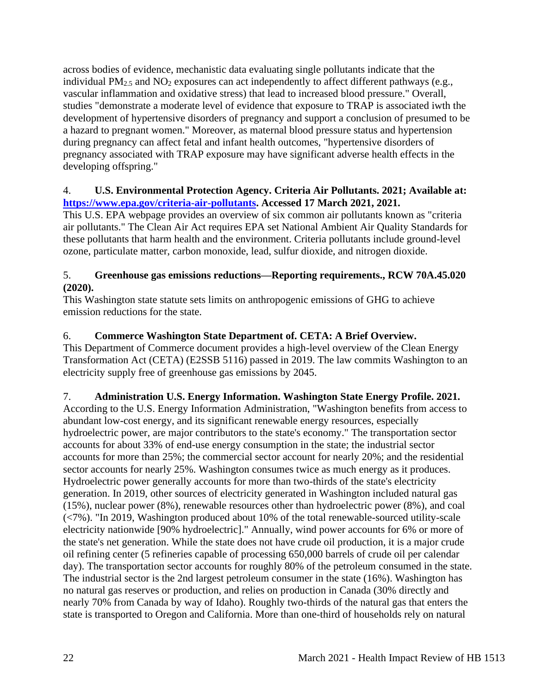across bodies of evidence, mechanistic data evaluating single pollutants indicate that the individual  $PM_{2.5}$  and  $NO_2$  exposures can act independently to affect different pathways (e.g., vascular inflammation and oxidative stress) that lead to increased blood pressure." Overall, studies "demonstrate a moderate level of evidence that exposure to TRAP is associated iwth the development of hypertensive disorders of pregnancy and support a conclusion of presumed to be a hazard to pregnant women." Moreover, as maternal blood pressure status and hypertension during pregnancy can affect fetal and infant health outcomes, "hypertensive disorders of pregnancy associated with TRAP exposure may have significant adverse health effects in the developing offspring."

### 4. **U.S. Environmental Protection Agency. Criteria Air Pollutants. 2021; Available at: [https://www.epa.gov/criteria-air-pollutants.](https://www.epa.gov/criteria-air-pollutants) Accessed 17 March 2021, 2021.**

This U.S. EPA webpage provides an overview of six common air pollutants known as "criteria air pollutants." The Clean Air Act requires EPA set National Ambient Air Quality Standards for these pollutants that harm health and the environment. Criteria pollutants include ground-level ozone, particulate matter, carbon monoxide, lead, sulfur dioxide, and nitrogen dioxide.

## 5. **Greenhouse gas emissions reductions—Reporting requirements., RCW 70A.45.020 (2020).**

This Washington state statute sets limits on anthropogenic emissions of GHG to achieve emission reductions for the state.

## 6. **Commerce Washington State Department of. CETA: A Brief Overview.**

This Department of Commerce document provides a high-level overview of the Clean Energy Transformation Act (CETA) (E2SSB 5116) passed in 2019. The law commits Washington to an electricity supply free of greenhouse gas emissions by 2045.

# 7. **Administration U.S. Energy Information. Washington State Energy Profile. 2021.**

According to the U.S. Energy Information Administration, "Washington benefits from access to abundant low-cost energy, and its significant renewable energy resources, especially hydroelectric power, are major contributors to the state's economy." The transportation sector accounts for about 33% of end-use energy consumption in the state; the industrial sector accounts for more than 25%; the commercial sector account for nearly 20%; and the residential sector accounts for nearly 25%. Washington consumes twice as much energy as it produces. Hydroelectric power generally accounts for more than two-thirds of the state's electricity generation. In 2019, other sources of electricity generated in Washington included natural gas (15%), nuclear power (8%), renewable resources other than hydroelectric power (8%), and coal (<7%). "In 2019, Washington produced about 10% of the total renewable-sourced utility-scale electricity nationwide [90% hydroelectric]." Annually, wind power accounts for 6% or more of the state's net generation. While the state does not have crude oil production, it is a major crude oil refining center (5 refineries capable of processing 650,000 barrels of crude oil per calendar day). The transportation sector accounts for roughly 80% of the petroleum consumed in the state. The industrial sector is the 2nd largest petroleum consumer in the state (16%). Washington has no natural gas reserves or production, and relies on production in Canada (30% directly and nearly 70% from Canada by way of Idaho). Roughly two-thirds of the natural gas that enters the state is transported to Oregon and California. More than one-third of households rely on natural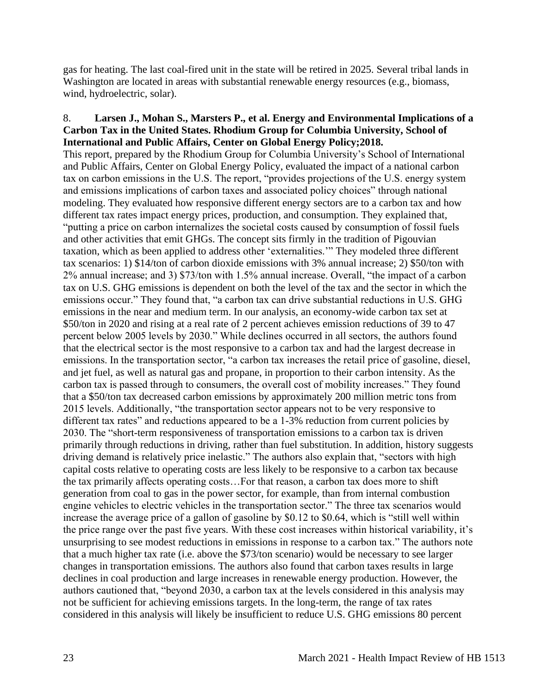gas for heating. The last coal-fired unit in the state will be retired in 2025. Several tribal lands in Washington are located in areas with substantial renewable energy resources (e.g., biomass, wind, hydroelectric, solar).

### 8. **Larsen J., Mohan S., Marsters P., et al. Energy and Environmental Implications of a Carbon Tax in the United States. Rhodium Group for Columbia University, School of International and Public Affairs, Center on Global Energy Policy;2018.**

This report, prepared by the Rhodium Group for Columbia University's School of International and Public Affairs, Center on Global Energy Policy, evaluated the impact of a national carbon tax on carbon emissions in the U.S. The report, "provides projections of the U.S. energy system and emissions implications of carbon taxes and associated policy choices" through national modeling. They evaluated how responsive different energy sectors are to a carbon tax and how different tax rates impact energy prices, production, and consumption. They explained that, "putting a price on carbon internalizes the societal costs caused by consumption of fossil fuels and other activities that emit GHGs. The concept sits firmly in the tradition of Pigouvian taxation, which as been applied to address other 'externalities.'" They modeled three different tax scenarios: 1) \$14/ton of carbon dioxide emissions with 3% annual increase; 2) \$50/ton with 2% annual increase; and 3) \$73/ton with 1.5% annual increase. Overall, "the impact of a carbon tax on U.S. GHG emissions is dependent on both the level of the tax and the sector in which the emissions occur." They found that, "a carbon tax can drive substantial reductions in U.S. GHG emissions in the near and medium term. In our analysis, an economy-wide carbon tax set at \$50/ton in 2020 and rising at a real rate of 2 percent achieves emission reductions of 39 to 47 percent below 2005 levels by 2030." While declines occurred in all sectors, the authors found that the electrical sector is the most responsive to a carbon tax and had the largest decrease in emissions. In the transportation sector, "a carbon tax increases the retail price of gasoline, diesel, and jet fuel, as well as natural gas and propane, in proportion to their carbon intensity. As the carbon tax is passed through to consumers, the overall cost of mobility increases." They found that a \$50/ton tax decreased carbon emissions by approximately 200 million metric tons from 2015 levels. Additionally, "the transportation sector appears not to be very responsive to different tax rates" and reductions appeared to be a 1-3% reduction from current policies by 2030. The "short-term responsiveness of transportation emissions to a carbon tax is driven primarily through reductions in driving, rather than fuel substitution. In addition, history suggests driving demand is relatively price inelastic." The authors also explain that, "sectors with high capital costs relative to operating costs are less likely to be responsive to a carbon tax because the tax primarily affects operating costs…For that reason, a carbon tax does more to shift generation from coal to gas in the power sector, for example, than from internal combustion engine vehicles to electric vehicles in the transportation sector." The three tax scenarios would increase the average price of a gallon of gasoline by \$0.12 to \$0.64, which is "still well within the price range over the past five years. With these cost increases within historical variability, it's unsurprising to see modest reductions in emissions in response to a carbon tax." The authors note that a much higher tax rate (i.e. above the \$73/ton scenario) would be necessary to see larger changes in transportation emissions. The authors also found that carbon taxes results in large declines in coal production and large increases in renewable energy production. However, the authors cautioned that, "beyond 2030, a carbon tax at the levels considered in this analysis may not be sufficient for achieving emissions targets. In the long-term, the range of tax rates considered in this analysis will likely be insufficient to reduce U.S. GHG emissions 80 percent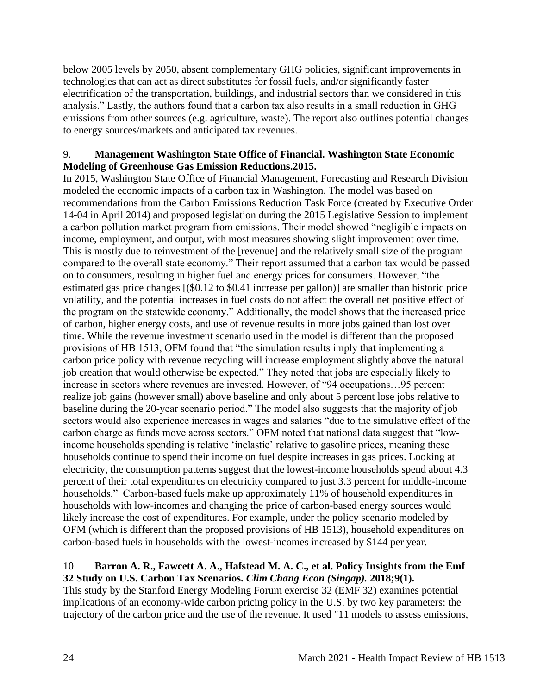below 2005 levels by 2050, absent complementary GHG policies, significant improvements in technologies that can act as direct substitutes for fossil fuels, and/or significantly faster electrification of the transportation, buildings, and industrial sectors than we considered in this analysis." Lastly, the authors found that a carbon tax also results in a small reduction in GHG emissions from other sources (e.g. agriculture, waste). The report also outlines potential changes to energy sources/markets and anticipated tax revenues.

#### 9. **Management Washington State Office of Financial. Washington State Economic Modeling of Greenhouse Gas Emission Reductions.2015.**

In 2015, Washington State Office of Financial Management, Forecasting and Research Division modeled the economic impacts of a carbon tax in Washington. The model was based on recommendations from the Carbon Emissions Reduction Task Force (created by Executive Order 14-04 in April 2014) and proposed legislation during the 2015 Legislative Session to implement a carbon pollution market program from emissions. Their model showed "negligible impacts on income, employment, and output, with most measures showing slight improvement over time. This is mostly due to reinvestment of the [revenue] and the relatively small size of the program compared to the overall state economy." Their report assumed that a carbon tax would be passed on to consumers, resulting in higher fuel and energy prices for consumers. However, "the estimated gas price changes [(\$0.12 to \$0.41 increase per gallon)] are smaller than historic price volatility, and the potential increases in fuel costs do not affect the overall net positive effect of the program on the statewide economy." Additionally, the model shows that the increased price of carbon, higher energy costs, and use of revenue results in more jobs gained than lost over time. While the revenue investment scenario used in the model is different than the proposed provisions of HB 1513, OFM found that "the simulation results imply that implementing a carbon price policy with revenue recycling will increase employment slightly above the natural job creation that would otherwise be expected." They noted that jobs are especially likely to increase in sectors where revenues are invested. However, of "94 occupations…95 percent realize job gains (however small) above baseline and only about 5 percent lose jobs relative to baseline during the 20-year scenario period." The model also suggests that the majority of job sectors would also experience increases in wages and salaries "due to the simulative effect of the carbon charge as funds move across sectors." OFM noted that national data suggest that "lowincome households spending is relative 'inelastic' relative to gasoline prices, meaning these households continue to spend their income on fuel despite increases in gas prices. Looking at electricity, the consumption patterns suggest that the lowest-income households spend about 4.3 percent of their total expenditures on electricity compared to just 3.3 percent for middle-income households." Carbon-based fuels make up approximately 11% of household expenditures in households with low-incomes and changing the price of carbon-based energy sources would likely increase the cost of expenditures. For example, under the policy scenario modeled by OFM (which is different than the proposed provisions of HB 1513), household expenditures on carbon-based fuels in households with the lowest-incomes increased by \$144 per year.

### 10. **Barron A. R., Fawcett A. A., Hafstead M. A. C., et al. Policy Insights from the Emf 32 Study on U.S. Carbon Tax Scenarios.** *Clim Chang Econ (Singap).* **2018;9(1).**

This study by the Stanford Energy Modeling Forum exercise 32 (EMF 32) examines potential implications of an economy-wide carbon pricing policy in the U.S. by two key parameters: the trajectory of the carbon price and the use of the revenue. It used "11 models to assess emissions,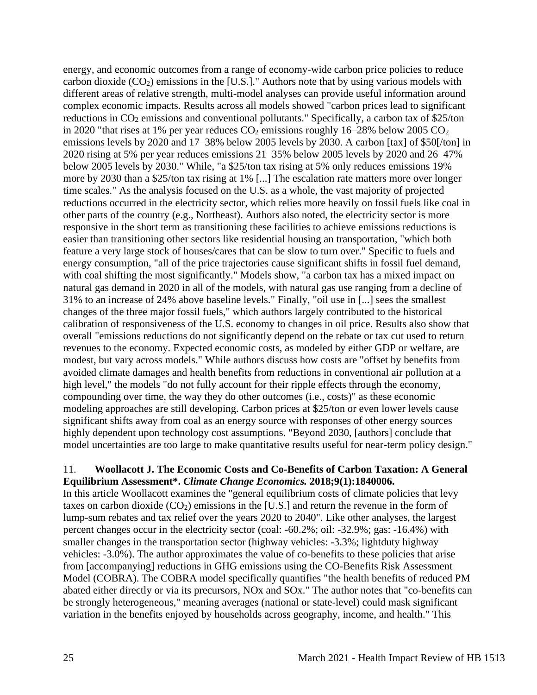energy, and economic outcomes from a range of economy-wide carbon price policies to reduce carbon dioxide  $(CO_2)$  emissions in the [U.S.]." Authors note that by using various models with different areas of relative strength, multi-model analyses can provide useful information around complex economic impacts. Results across all models showed "carbon prices lead to significant reductions in  $CO<sub>2</sub>$  emissions and conventional pollutants." Specifically, a carbon tax of \$25/ton in 2020 "that rises at 1% per year reduces  $CO_2$  emissions roughly 16–28% below 2005  $CO_2$ emissions levels by 2020 and 17–38% below 2005 levels by 2030. A carbon [tax] of \$50[/ton] in 2020 rising at 5% per year reduces emissions 21–35% below 2005 levels by 2020 and 26–47% below 2005 levels by 2030." While, "a \$25/ton tax rising at 5% only reduces emissions 19% more by 2030 than a \$25/ton tax rising at 1% [...] The escalation rate matters more over longer time scales." As the analysis focused on the U.S. as a whole, the vast majority of projected reductions occurred in the electricity sector, which relies more heavily on fossil fuels like coal in other parts of the country (e.g., Northeast). Authors also noted, the electricity sector is more responsive in the short term as transitioning these facilities to achieve emissions reductions is easier than transitioning other sectors like residential housing an transportation, "which both feature a very large stock of houses/cares that can be slow to turn over." Specific to fuels and energy consumption, "all of the price trajectories cause significant shifts in fossil fuel demand, with coal shifting the most significantly." Models show, "a carbon tax has a mixed impact on natural gas demand in 2020 in all of the models, with natural gas use ranging from a decline of 31% to an increase of 24% above baseline levels." Finally, "oil use in [...] sees the smallest changes of the three major fossil fuels," which authors largely contributed to the historical calibration of responsiveness of the U.S. economy to changes in oil price. Results also show that overall "emissions reductions do not significantly depend on the rebate or tax cut used to return revenues to the economy. Expected economic costs, as modeled by either GDP or welfare, are modest, but vary across models." While authors discuss how costs are "offset by benefits from avoided climate damages and health benefits from reductions in conventional air pollution at a high level," the models "do not fully account for their ripple effects through the economy, compounding over time, the way they do other outcomes (i.e., costs)" as these economic modeling approaches are still developing. Carbon prices at \$25/ton or even lower levels cause significant shifts away from coal as an energy source with responses of other energy sources highly dependent upon technology cost assumptions. "Beyond 2030, [authors] conclude that model uncertainties are too large to make quantitative results useful for near-term policy design."

### 11. **Woollacott J. The Economic Costs and Co-Benefits of Carbon Taxation: A General Equilibrium Assessment\*.** *Climate Change Economics.* **2018;9(1):1840006.**

In this article Woollacott examines the "general equilibrium costs of climate policies that levy taxes on carbon dioxide  $(CO_2)$  emissions in the [U.S.] and return the revenue in the form of lump-sum rebates and tax relief over the years 2020 to 2040". Like other analyses, the largest percent changes occur in the electricity sector (coal: -60.2%; oil: -32.9%; gas: -16.4%) with smaller changes in the transportation sector (highway vehicles: -3.3%; lightduty highway vehicles: -3.0%). The author approximates the value of co-benefits to these policies that arise from [accompanying] reductions in GHG emissions using the CO-Benefits Risk Assessment Model (COBRA). The COBRA model specifically quantifies "the health benefits of reduced PM abated either directly or via its precursors, NOx and SOx." The author notes that "co-benefits can be strongly heterogeneous," meaning averages (national or state-level) could mask significant variation in the benefits enjoyed by households across geography, income, and health." This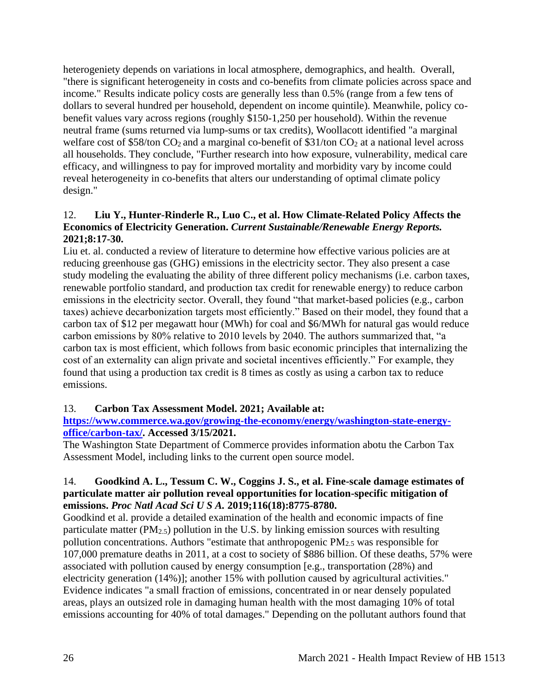heterogeniety depends on variations in local atmosphere, demographics, and health. Overall, "there is significant heterogeneity in costs and co-benefits from climate policies across space and income." Results indicate policy costs are generally less than 0.5% (range from a few tens of dollars to several hundred per household, dependent on income quintile). Meanwhile, policy cobenefit values vary across regions (roughly \$150-1,250 per household). Within the revenue neutral frame (sums returned via lump-sums or tax credits), Woollacott identified "a marginal welfare cost of \$58/ton  $CO<sub>2</sub>$  and a marginal co-benefit of \$31/ton  $CO<sub>2</sub>$  at a national level across all households. They conclude, "Further research into how exposure, vulnerability, medical care efficacy, and willingness to pay for improved mortality and morbidity vary by income could reveal heterogeneity in co-benefits that alters our understanding of optimal climate policy design."

### 12. **Liu Y., Hunter-Rinderle R., Luo C., et al. How Climate-Related Policy Affects the Economics of Electricity Generation.** *Current Sustainable/Renewable Energy Reports.*  **2021;8:17-30.**

Liu et. al. conducted a review of literature to determine how effective various policies are at reducing greenhouse gas (GHG) emissions in the electricity sector. They also present a case study modeling the evaluating the ability of three different policy mechanisms (i.e. carbon taxes, renewable portfolio standard, and production tax credit for renewable energy) to reduce carbon emissions in the electricity sector. Overall, they found "that market-based policies (e.g., carbon taxes) achieve decarbonization targets most efficiently." Based on their model, they found that a carbon tax of \$12 per megawatt hour (MWh) for coal and \$6/MWh for natural gas would reduce carbon emissions by 80% relative to 2010 levels by 2040. The authors summarized that, "a carbon tax is most efficient, which follows from basic economic principles that internalizing the cost of an externality can align private and societal incentives efficiently." For example, they found that using a production tax credit is 8 times as costly as using a carbon tax to reduce emissions.

### 13. **Carbon Tax Assessment Model. 2021; Available at:**

**[https://www.commerce.wa.gov/growing-the-economy/energy/washington-state-energy](https://www.commerce.wa.gov/growing-the-economy/energy/washington-state-energy-office/carbon-tax/)[office/carbon-tax/.](https://www.commerce.wa.gov/growing-the-economy/energy/washington-state-energy-office/carbon-tax/) Accessed 3/15/2021.**

The Washington State Department of Commerce provides information abotu the Carbon Tax Assessment Model, including links to the current open source model.

### 14. **Goodkind A. L., Tessum C. W., Coggins J. S., et al. Fine-scale damage estimates of particulate matter air pollution reveal opportunities for location-specific mitigation of emissions.** *Proc Natl Acad Sci U S A.* **2019;116(18):8775-8780.**

Goodkind et al. provide a detailed examination of the health and economic impacts of fine particulate matter ( $PM_{2.5}$ ) pollution in the U.S. by linking emission sources with resulting pollution concentrations. Authors "estimate that anthropogenic  $PM_{2.5}$  was responsible for 107,000 premature deaths in 2011, at a cost to society of \$886 billion. Of these deaths, 57% were associated with pollution caused by energy consumption [e.g., transportation (28%) and electricity generation (14%)]; another 15% with pollution caused by agricultural activities." Evidence indicates "a small fraction of emissions, concentrated in or near densely populated areas, plays an outsized role in damaging human health with the most damaging 10% of total emissions accounting for 40% of total damages." Depending on the pollutant authors found that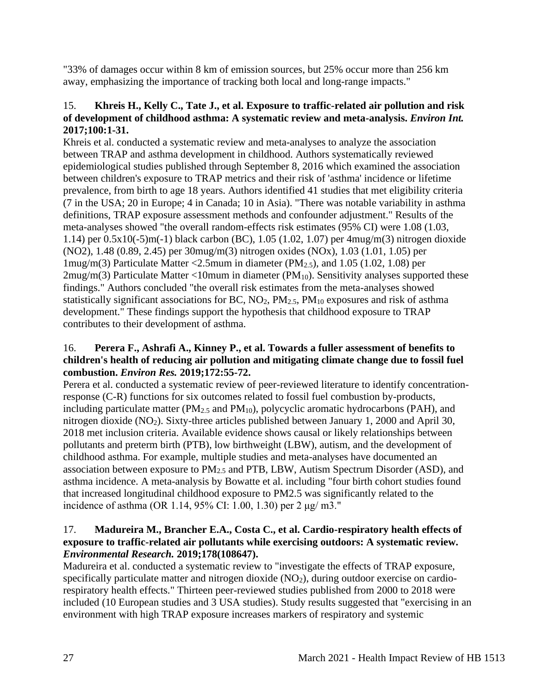"33% of damages occur within 8 km of emission sources, but 25% occur more than 256 km away, emphasizing the importance of tracking both local and long-range impacts."

### 15. **Khreis H., Kelly C., Tate J., et al. Exposure to traffic-related air pollution and risk of development of childhood asthma: A systematic review and meta-analysis.** *Environ Int.*  **2017;100:1-31.**

Khreis et al. conducted a systematic review and meta-analyses to analyze the association between TRAP and asthma development in childhood. Authors systematically reviewed epidemiological studies published through September 8, 2016 which examined the association between children's exposure to TRAP metrics and their risk of 'asthma' incidence or lifetime prevalence, from birth to age 18 years. Authors identified 41 studies that met eligibility criteria (7 in the USA; 20 in Europe; 4 in Canada; 10 in Asia). "There was notable variability in asthma definitions, TRAP exposure assessment methods and confounder adjustment." Results of the meta-analyses showed "the overall random-effects risk estimates (95% CI) were 1.08 (1.03, 1.14) per 0.5x10(-5)m(-1) black carbon (BC), 1.05 (1.02, 1.07) per 4mug/m(3) nitrogen dioxide (NO2), 1.48 (0.89, 2.45) per 30mug/m(3) nitrogen oxides (NOx), 1.03 (1.01, 1.05) per 1mug/m(3) Particulate Matter <2.5mum in diameter (PM $_{2.5}$ ), and 1.05 (1.02, 1.08) per  $2mug/m(3)$  Particulate Matter <10mum in diameter (PM<sub>10</sub>). Sensitivity analyses supported these findings." Authors concluded "the overall risk estimates from the meta-analyses showed statistically significant associations for BC,  $NO<sub>2</sub>$ ,  $PM<sub>2.5</sub>$ ,  $PM<sub>10</sub>$  exposures and risk of asthma development." These findings support the hypothesis that childhood exposure to TRAP contributes to their development of asthma.

## 16. **Perera F., Ashrafi A., Kinney P., et al. Towards a fuller assessment of benefits to children's health of reducing air pollution and mitigating climate change due to fossil fuel combustion.** *Environ Res.* **2019;172:55-72.**

Perera et al. conducted a systematic review of peer-reviewed literature to identify concentrationresponse (C-R) functions for six outcomes related to fossil fuel combustion by-products, including particulate matter ( $PM_{2.5}$  and  $PM_{10}$ ), polycyclic aromatic hydrocarbons ( $PAH$ ), and nitrogen dioxide (NO2). Sixty-three articles published between January 1, 2000 and April 30, 2018 met inclusion criteria. Available evidence shows causal or likely relationships between pollutants and preterm birth (PTB), low birthweight (LBW), autism, and the development of childhood asthma. For example, multiple studies and meta-analyses have documented an association between exposure to  $PM_{2.5}$  and PTB, LBW, Autism Spectrum Disorder (ASD), and asthma incidence. A meta-analysis by Bowatte et al. including "four birth cohort studies found that increased longitudinal childhood exposure to PM2.5 was significantly related to the incidence of asthma (OR 1.14, 95% CI: 1.00, 1.30) per 2 μg/ m3."

## 17. **Madureira M., Brancher E.A., Costa C., et al. Cardio-respiratory health effects of exposure to traffic-related air pollutants while exercising outdoors: A systematic review.**  *Environmental Research.* **2019;178(108647).**

Madureira et al. conducted a systematic review to "investigate the effects of TRAP exposure, specifically particulate matter and nitrogen dioxide  $(NO<sub>2</sub>)$ , during outdoor exercise on cardiorespiratory health effects." Thirteen peer-reviewed studies published from 2000 to 2018 were included (10 European studies and 3 USA studies). Study results suggested that "exercising in an environment with high TRAP exposure increases markers of respiratory and systemic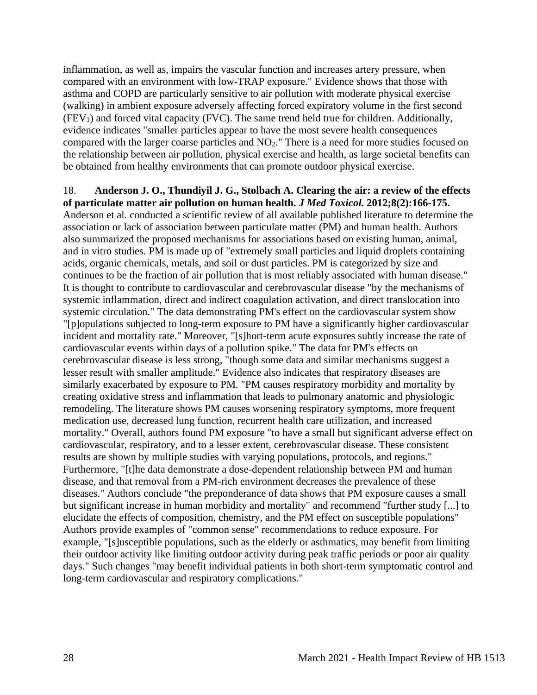inflammation, as well as, impairs the vascular function and increases artery pressure, when compared with an environment with low-TRAP exposure." Evidence shows that those with asthma and COPD are particularly sensitive to air pollution with moderate physical exercise (walking) in ambient exposure adversely affecting forced expiratory volume in the first second  $(FEV<sub>1</sub>)$  and forced vital capacity (FVC). The same trend held true for children. Additionally, evidence indicates "smaller particles appear to have the most severe health consequences compared with the larger coarse particles and NO2." There is a need for more studies focused on the relationship between air pollution, physical exercise and health, as large societal benefits can be obtained from healthy environments that can promote outdoor physical exercise.

18. **Anderson J. O., Thundiyil J. G., Stolbach A. Clearing the air: a review of the effects of particulate matter air pollution on human health.** *J Med Toxicol.* **2012;8(2):166-175.** Anderson et al. conducted a scientific review of all available published literature to determine the association or lack of association between particulate matter (PM) and human health. Authors also summarized the proposed mechanisms for associations based on existing human, animal, and in vitro studies. PM is made up of "extremely small particles and liquid droplets containing acids, organic chemicals, metals, and soil or dust particles. PM is categorized by size and continues to be the fraction of air pollution that is most reliably associated with human disease." It is thought to contribute to cardiovascular and cerebrovascular disease "by the mechanisms of systemic inflammation, direct and indirect coagulation activation, and direct translocation into systemic circulation." The data demonstrating PM's effect on the cardiovascular system show "[p]opulations subjected to long-term exposure to PM have a significantly higher cardiovascular incident and mortality rate." Moreover, "[s]hort-term acute exposures subtly increase the rate of cardiovascular events within days of a pollution spike." The data for PM's effects on cerebrovascular disease is less strong, "though some data and similar mechanisms suggest a lesser result with smaller amplitude." Evidence also indicates that respiratory diseases are similarly exacerbated by exposure to PM. "PM causes respiratory morbidity and mortality by creating oxidative stress and inflammation that leads to pulmonary anatomic and physiologic remodeling. The literature shows PM causes worsening respiratory symptoms, more frequent medication use, decreased lung function, recurrent health care utilization, and increased mortality." Overall, authors found PM exposure "to have a small but significant adverse effect on cardiovascular, respiratory, and to a lesser extent, cerebrovascular disease. These consistent results are shown by multiple studies with varying populations, protocols, and regions." Furthermore, "[t]he data demonstrate a dose-dependent relationship between PM and human disease, and that removal from a PM-rich environment decreases the prevalence of these diseases." Authors conclude "the preponderance of data shows that PM exposure causes a small but significant increase in human morbidity and mortality" and recommend "further study [...] to elucidate the effects of composition, chemistry, and the PM effect on susceptible populations" Authors provide examples of "common sense" recommendations to reduce exposure. For example, "[s]usceptible populations, such as the elderly or asthmatics, may benefit from limiting their outdoor activity like limiting outdoor activity during peak traffic periods or poor air quality days." Such changes "may benefit individual patients in both short-term symptomatic control and long-term cardiovascular and respiratory complications."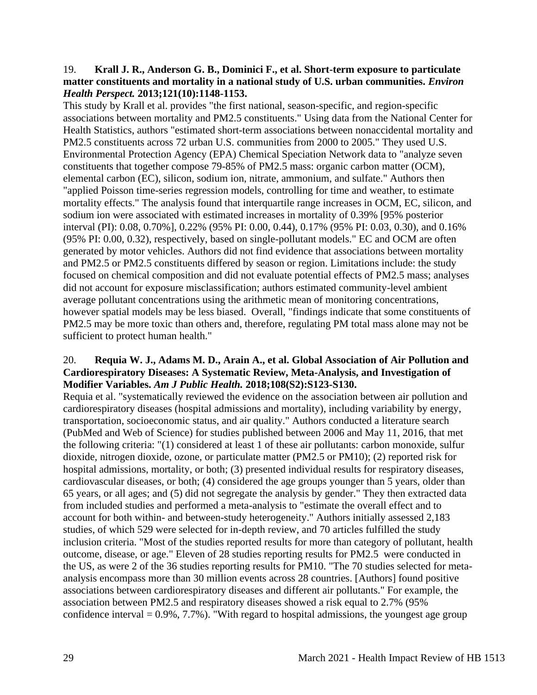#### 19. **Krall J. R., Anderson G. B., Dominici F., et al. Short-term exposure to particulate matter constituents and mortality in a national study of U.S. urban communities.** *Environ Health Perspect.* **2013;121(10):1148-1153.**

This study by Krall et al. provides "the first national, season-specific, and region-specific associations between mortality and PM2.5 constituents." Using data from the National Center for Health Statistics, authors "estimated short-term associations between nonaccidental mortality and PM2.5 constituents across 72 urban U.S. communities from 2000 to 2005." They used U.S. Environmental Protection Agency (EPA) Chemical Speciation Network data to "analyze seven constituents that together compose 79-85% of PM2.5 mass: organic carbon matter (OCM), elemental carbon (EC), silicon, sodium ion, nitrate, ammonium, and sulfate." Authors then "applied Poisson time-series regression models, controlling for time and weather, to estimate mortality effects." The analysis found that interquartile range increases in OCM, EC, silicon, and sodium ion were associated with estimated increases in mortality of 0.39% [95% posterior interval (PI): 0.08, 0.70%], 0.22% (95% PI: 0.00, 0.44), 0.17% (95% PI: 0.03, 0.30), and 0.16% (95% PI: 0.00, 0.32), respectively, based on single-pollutant models." EC and OCM are often generated by motor vehicles. Authors did not find evidence that associations between mortality and PM2.5 or PM2.5 constituents differed by season or region. Limitations include: the study focused on chemical composition and did not evaluate potential effects of PM2.5 mass; analyses did not account for exposure misclassification; authors estimated community-level ambient average pollutant concentrations using the arithmetic mean of monitoring concentrations, however spatial models may be less biased. Overall, "findings indicate that some constituents of PM2.5 may be more toxic than others and, therefore, regulating PM total mass alone may not be sufficient to protect human health."

### 20. **Requia W. J., Adams M. D., Arain A., et al. Global Association of Air Pollution and Cardiorespiratory Diseases: A Systematic Review, Meta-Analysis, and Investigation of Modifier Variables.** *Am J Public Health.* **2018;108(S2):S123-S130.**

Requia et al. "systematically reviewed the evidence on the association between air pollution and cardiorespiratory diseases (hospital admissions and mortality), including variability by energy, transportation, socioeconomic status, and air quality." Authors conducted a literature search (PubMed and Web of Science) for studies published between 2006 and May 11, 2016, that met the following criteria: "(1) considered at least 1 of these air pollutants: carbon monoxide, sulfur dioxide, nitrogen dioxide, ozone, or particulate matter (PM2.5 or PM10); (2) reported risk for hospital admissions, mortality, or both; (3) presented individual results for respiratory diseases, cardiovascular diseases, or both; (4) considered the age groups younger than 5 years, older than 65 years, or all ages; and (5) did not segregate the analysis by gender." They then extracted data from included studies and performed a meta-analysis to "estimate the overall effect and to account for both within- and between-study heterogeneity." Authors initially assessed 2,183 studies, of which 529 were selected for in-depth review, and 70 articles fulfilled the study inclusion criteria. "Most of the studies reported results for more than category of pollutant, health outcome, disease, or age." Eleven of 28 studies reporting results for PM2.5 were conducted in the US, as were 2 of the 36 studies reporting results for PM10. "The 70 studies selected for metaanalysis encompass more than 30 million events across 28 countries. [Authors] found positive associations between cardiorespiratory diseases and different air pollutants." For example, the association between PM2.5 and respiratory diseases showed a risk equal to 2.7% (95% confidence interval  $= 0.9\%$ , 7.7%). "With regard to hospital admissions, the youngest age group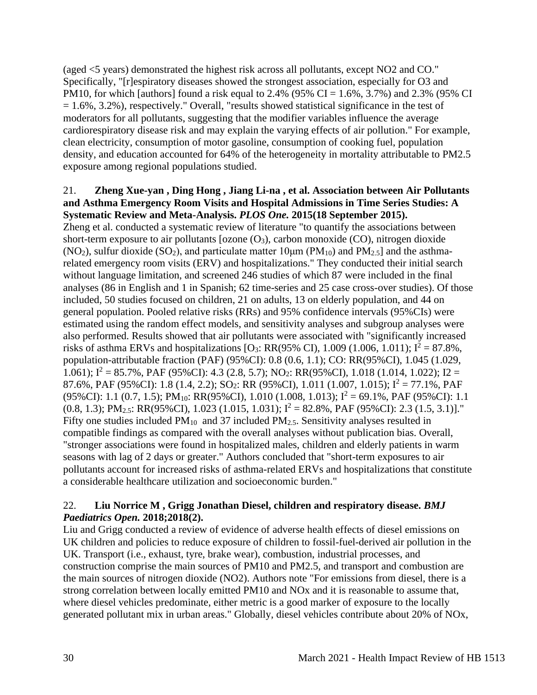(aged <5 years) demonstrated the highest risk across all pollutants, except NO2 and CO." Specifically, "[r]espiratory diseases showed the strongest association, especially for O3 and PM10, for which [authors] found a risk equal to 2.4% (95% CI =  $1.6\%$ , 3.7%) and 2.3% (95% CI  $= 1.6\%, 3.2\%$ ), respectively." Overall, "results showed statistical significance in the test of moderators for all pollutants, suggesting that the modifier variables influence the average cardiorespiratory disease risk and may explain the varying effects of air pollution." For example, clean electricity, consumption of motor gasoline, consumption of cooking fuel, population density, and education accounted for 64% of the heterogeneity in mortality attributable to PM2.5 exposure among regional populations studied.

#### 21. **Zheng Xue-yan , Ding Hong , Jiang Li-na , et al. Association between Air Pollutants and Asthma Emergency Room Visits and Hospital Admissions in Time Series Studies: A Systematic Review and Meta-Analysis.** *PLOS One.* **2015(18 September 2015).**

Zheng et al. conducted a systematic review of literature "to quantify the associations between short-term exposure to air pollutants [ozone  $(O_3)$ , carbon monoxide  $(CO)$ , nitrogen dioxide (NO<sub>2</sub>), sulfur dioxide (SO<sub>2</sub>), and particulate matter 10 $\mu$ m (PM<sub>10</sub>) and PM<sub>2.5</sub>] and the asthmarelated emergency room visits (ERV) and hospitalizations." They conducted their initial search without language limitation, and screened 246 studies of which 87 were included in the final analyses (86 in English and 1 in Spanish; 62 time-series and 25 case cross-over studies). Of those included, 50 studies focused on children, 21 on adults, 13 on elderly population, and 44 on general population. Pooled relative risks (RRs) and 95% confidence intervals (95%CIs) were estimated using the random effect models, and sensitivity analyses and subgroup analyses were also performed. Results showed that air pollutants were associated with "significantly increased risks of asthma ERVs and hospitalizations  $[O_3: RR(95\% \text{ CI}), 1.009 (1.006, 1.011); I^2 = 87.8\%$ , population-attributable fraction (PAF) (95%CI): 0.8 (0.6, 1.1); CO: RR(95%CI), 1.045 (1.029, 1.061);  $I^2 = 85.7\%$ , PAF (95%CI): 4.3 (2.8, 5.7); NO<sub>2</sub>: RR(95%CI), 1.018 (1.014, 1.022); I2 = 87.6%, PAF (95%CI): 1.8 (1.4, 2.2); SO<sub>2</sub>: RR (95%CI), 1.011 (1.007, 1.015);  $I^2 = 77.1\%$ , PAF (95%CI): 1.1 (0.7, 1.5); PM<sub>10</sub>: RR(95%CI), 1.010 (1.008, 1.013);  $I^2 = 69.1\%$ , PAF (95%CI): 1.1  $(0.8, 1.3); PM<sub>2.5</sub>: RR(95%CI), 1.023 (1.015, 1.031); I<sup>2</sup> = 82.8%, PAF (95%CI): 2.3 (1.5, 3.1)].$ " Fifty one studies included  $PM_{10}$  and 37 included  $PM_{2.5}$ . Sensitivity analyses resulted in compatible findings as compared with the overall analyses without publication bias. Overall, "stronger associations were found in hospitalized males, children and elderly patients in warm seasons with lag of 2 days or greater." Authors concluded that "short-term exposures to air pollutants account for increased risks of asthma-related ERVs and hospitalizations that constitute a considerable healthcare utilization and socioeconomic burden."

### 22. **Liu Norrice M , Grigg Jonathan Diesel, children and respiratory disease.** *BMJ Paediatrics Open.* **2018;2018(2).**

Liu and Grigg conducted a review of evidence of adverse health effects of diesel emissions on UK children and policies to reduce exposure of children to fossil-fuel-derived air pollution in the UK. Transport (i.e., exhaust, tyre, brake wear), combustion, industrial processes, and construction comprise the main sources of PM10 and PM2.5, and transport and combustion are the main sources of nitrogen dioxide (NO2). Authors note "For emissions from diesel, there is a strong correlation between locally emitted PM10 and NOx and it is reasonable to assume that, where diesel vehicles predominate, either metric is a good marker of exposure to the locally generated pollutant mix in urban areas." Globally, diesel vehicles contribute about 20% of NOx,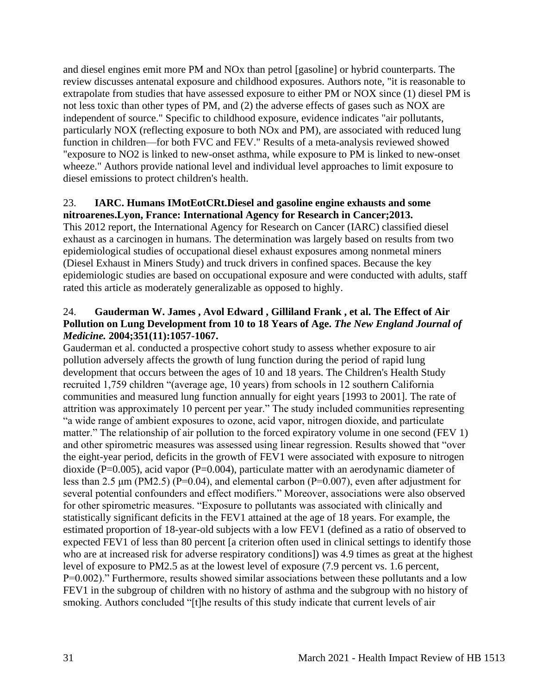and diesel engines emit more PM and NOx than petrol [gasoline] or hybrid counterparts. The review discusses antenatal exposure and childhood exposures. Authors note, "it is reasonable to extrapolate from studies that have assessed exposure to either PM or NOX since (1) diesel PM is not less toxic than other types of PM, and (2) the adverse effects of gases such as NOX are independent of source." Specific to childhood exposure, evidence indicates "air pollutants, particularly NOX (reflecting exposure to both NOx and PM), are associated with reduced lung function in children—for both FVC and FEV." Results of a meta-analysis reviewed showed "exposure to NO2 is linked to new-onset asthma, while exposure to PM is linked to new-onset wheeze." Authors provide national level and individual level approaches to limit exposure to diesel emissions to protect children's health.

#### 23. **IARC. Humans IMotEotCRt.Diesel and gasoline engine exhausts and some nitroarenes.Lyon, France: International Agency for Research in Cancer;2013.**

This 2012 report, the International Agency for Research on Cancer (IARC) classified diesel exhaust as a carcinogen in humans. The determination was largely based on results from two epidemiological studies of occupational diesel exhaust exposures among nonmetal miners (Diesel Exhaust in Miners Study) and truck drivers in confined spaces. Because the key epidemiologic studies are based on occupational exposure and were conducted with adults, staff rated this article as moderately generalizable as opposed to highly.

### 24. **Gauderman W. James , Avol Edward , Gilliland Frank , et al. The Effect of Air Pollution on Lung Development from 10 to 18 Years of Age.** *The New England Journal of Medicine.* **2004;351(11):1057-1067.**

Gauderman et al. conducted a prospective cohort study to assess whether exposure to air pollution adversely affects the growth of lung function during the period of rapid lung development that occurs between the ages of 10 and 18 years. The Children's Health Study recruited 1,759 children "(average age, 10 years) from schools in 12 southern California communities and measured lung function annually for eight years [1993 to 2001]. The rate of attrition was approximately 10 percent per year." The study included communities representing "a wide range of ambient exposures to ozone, acid vapor, nitrogen dioxide, and particulate matter." The relationship of air pollution to the forced expiratory volume in one second (FEV 1) and other spirometric measures was assessed using linear regression. Results showed that "over the eight-year period, deficits in the growth of FEV1 were associated with exposure to nitrogen dioxide (P=0.005), acid vapor (P=0.004), particulate matter with an aerodynamic diameter of less than 2.5  $\mu$ m (PM2.5) (P=0.04), and elemental carbon (P=0.007), even after adjustment for several potential confounders and effect modifiers." Moreover, associations were also observed for other spirometric measures. "Exposure to pollutants was associated with clinically and statistically significant deficits in the FEV1 attained at the age of 18 years. For example, the estimated proportion of 18-year-old subjects with a low FEV1 (defined as a ratio of observed to expected FEV1 of less than 80 percent [a criterion often used in clinical settings to identify those who are at increased risk for adverse respiratory conditions]) was 4.9 times as great at the highest level of exposure to PM2.5 as at the lowest level of exposure (7.9 percent vs. 1.6 percent, P=0.002)." Furthermore, results showed similar associations between these pollutants and a low FEV1 in the subgroup of children with no history of asthma and the subgroup with no history of smoking. Authors concluded "[t]he results of this study indicate that current levels of air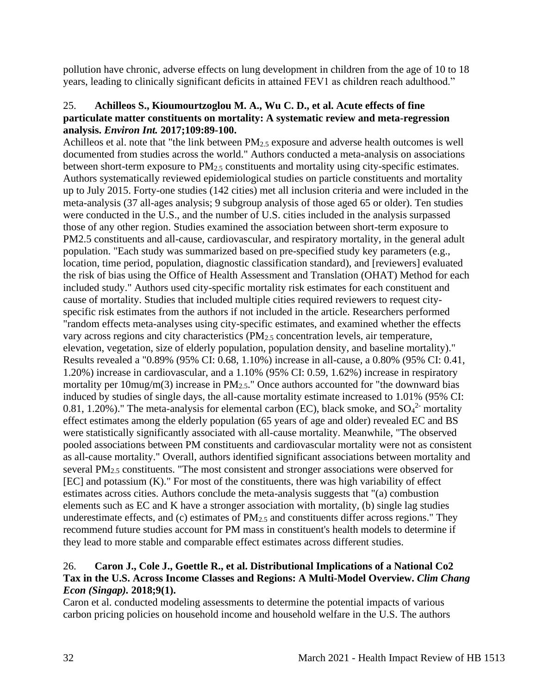pollution have chronic, adverse effects on lung development in children from the age of 10 to 18 years, leading to clinically significant deficits in attained FEV1 as children reach adulthood."

### 25. **Achilleos S., Kioumourtzoglou M. A., Wu C. D., et al. Acute effects of fine particulate matter constituents on mortality: A systematic review and meta-regression analysis.** *Environ Int.* **2017;109:89-100.**

Achilleos et al. note that "the link between PM2.5 exposure and adverse health outcomes is well documented from studies across the world." Authors conducted a meta-analysis on associations between short-term exposure to  $PM_{2.5}$  constituents and mortality using city-specific estimates. Authors systematically reviewed epidemiological studies on particle constituents and mortality up to July 2015. Forty-one studies (142 cities) met all inclusion criteria and were included in the meta-analysis (37 all-ages analysis; 9 subgroup analysis of those aged 65 or older). Ten studies were conducted in the U.S., and the number of U.S. cities included in the analysis surpassed those of any other region. Studies examined the association between short-term exposure to PM2.5 constituents and all-cause, cardiovascular, and respiratory mortality, in the general adult population. "Each study was summarized based on pre-specified study key parameters (e.g., location, time period, population, diagnostic classification standard), and [reviewers] evaluated the risk of bias using the Office of Health Assessment and Translation (OHAT) Method for each included study." Authors used city-specific mortality risk estimates for each constituent and cause of mortality. Studies that included multiple cities required reviewers to request cityspecific risk estimates from the authors if not included in the article. Researchers performed "random effects meta-analyses using city-specific estimates, and examined whether the effects vary across regions and city characteristics (PM<sub>2.5</sub> concentration levels, air temperature, elevation, vegetation, size of elderly population, population density, and baseline mortality)." Results revealed a "0.89% (95% CI: 0.68, 1.10%) increase in all-cause, a 0.80% (95% CI: 0.41, 1.20%) increase in cardiovascular, and a 1.10% (95% CI: 0.59, 1.62%) increase in respiratory mortality per 10mug/m(3) increase in PM<sub>2.5</sub>." Once authors accounted for "the downward bias induced by studies of single days, the all-cause mortality estimate increased to 1.01% (95% CI: 0.81, 1.20%)." The meta-analysis for elemental carbon (EC), black smoke, and  $SO_4^2$  mortality effect estimates among the elderly population (65 years of age and older) revealed EC and BS were statistically significantly associated with all-cause mortality. Meanwhile, "The observed pooled associations between PM constituents and cardiovascular mortality were not as consistent as all-cause mortality." Overall, authors identified significant associations between mortality and several PM2.5 constituents. "The most consistent and stronger associations were observed for [EC] and potassium (K)." For most of the constituents, there was high variability of effect estimates across cities. Authors conclude the meta-analysis suggests that "(a) combustion elements such as EC and K have a stronger association with mortality, (b) single lag studies underestimate effects, and (c) estimates of  $PM_{2.5}$  and constituents differ across regions." They recommend future studies account for PM mass in constituent's health models to determine if they lead to more stable and comparable effect estimates across different studies.

### 26. **Caron J., Cole J., Goettle R., et al. Distributional Implications of a National Co2 Tax in the U.S. Across Income Classes and Regions: A Multi-Model Overview.** *Clim Chang Econ (Singap).* **2018;9(1).**

Caron et al. conducted modeling assessments to determine the potential impacts of various carbon pricing policies on household income and household welfare in the U.S. The authors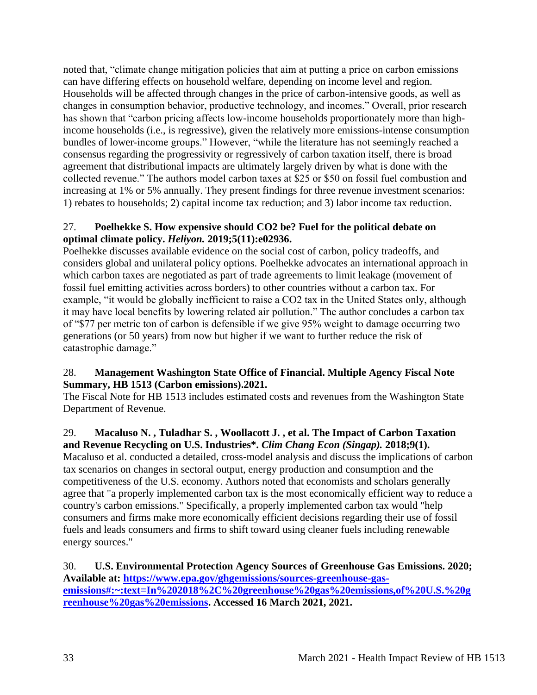noted that, "climate change mitigation policies that aim at putting a price on carbon emissions can have differing effects on household welfare, depending on income level and region. Households will be affected through changes in the price of carbon-intensive goods, as well as changes in consumption behavior, productive technology, and incomes." Overall, prior research has shown that "carbon pricing affects low-income households proportionately more than highincome households (i.e., is regressive), given the relatively more emissions-intense consumption bundles of lower-income groups." However, "while the literature has not seemingly reached a consensus regarding the progressivity or regressively of carbon taxation itself, there is broad agreement that distributional impacts are ultimately largely driven by what is done with the collected revenue." The authors model carbon taxes at \$25 or \$50 on fossil fuel combustion and increasing at 1% or 5% annually. They present findings for three revenue investment scenarios: 1) rebates to households; 2) capital income tax reduction; and 3) labor income tax reduction.

## 27. **Poelhekke S. How expensive should CO2 be? Fuel for the political debate on optimal climate policy.** *Heliyon.* **2019;5(11):e02936.**

Poelhekke discusses available evidence on the social cost of carbon, policy tradeoffs, and considers global and unilateral policy options. Poelhekke advocates an international approach in which carbon taxes are negotiated as part of trade agreements to limit leakage (movement of fossil fuel emitting activities across borders) to other countries without a carbon tax. For example, "it would be globally inefficient to raise a CO2 tax in the United States only, although it may have local benefits by lowering related air pollution." The author concludes a carbon tax of "\$77 per metric ton of carbon is defensible if we give 95% weight to damage occurring two generations (or 50 years) from now but higher if we want to further reduce the risk of catastrophic damage."

## 28. **Management Washington State Office of Financial. Multiple Agency Fiscal Note Summary, HB 1513 (Carbon emissions).2021.**

The Fiscal Note for HB 1513 includes estimated costs and revenues from the Washington State Department of Revenue.

## 29. **Macaluso N. , Tuladhar S. , Woollacott J. , et al. The Impact of Carbon Taxation and Revenue Recycling on U.S. Industries\*.** *Clim Chang Econ (Singap).* **2018;9(1).**

Macaluso et al. conducted a detailed, cross-model analysis and discuss the implications of carbon tax scenarios on changes in sectoral output, energy production and consumption and the competitiveness of the U.S. economy. Authors noted that economists and scholars generally agree that "a properly implemented carbon tax is the most economically efficient way to reduce a country's carbon emissions." Specifically, a properly implemented carbon tax would "help consumers and firms make more economically efficient decisions regarding their use of fossil fuels and leads consumers and firms to shift toward using cleaner fuels including renewable energy sources."

30. **U.S. Environmental Protection Agency Sources of Greenhouse Gas Emissions. 2020; Available at: [https://www.epa.gov/ghgemissions/sources-greenhouse-gas](https://www.epa.gov/ghgemissions/sources-greenhouse-gas-emissions#:~:text=In%202018%2C%20greenhouse%20gas%20emissions,of%20U.S.%20greenhouse%20gas%20emissions)[emissions#:~:text=In%202018%2C%20greenhouse%20gas%20emissions,of%20U.S.%20g](https://www.epa.gov/ghgemissions/sources-greenhouse-gas-emissions#:~:text=In%202018%2C%20greenhouse%20gas%20emissions,of%20U.S.%20greenhouse%20gas%20emissions) [reenhouse%20gas%20emissions.](https://www.epa.gov/ghgemissions/sources-greenhouse-gas-emissions#:~:text=In%202018%2C%20greenhouse%20gas%20emissions,of%20U.S.%20greenhouse%20gas%20emissions) Accessed 16 March 2021, 2021.**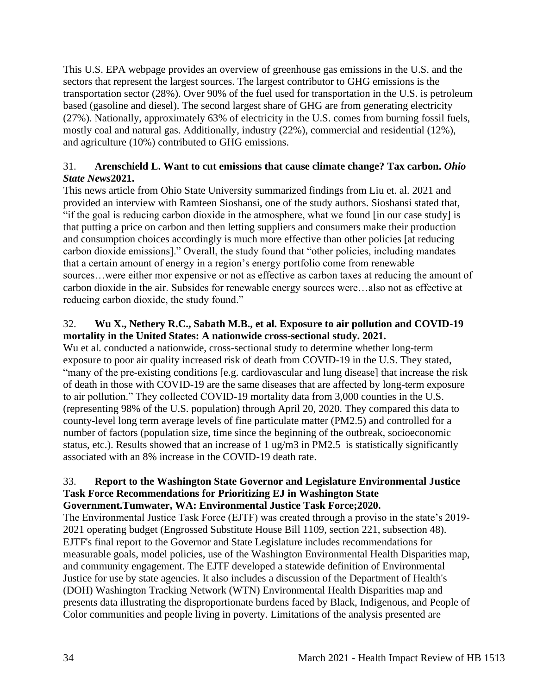This U.S. EPA webpage provides an overview of greenhouse gas emissions in the U.S. and the sectors that represent the largest sources. The largest contributor to GHG emissions is the transportation sector (28%). Over 90% of the fuel used for transportation in the U.S. is petroleum based (gasoline and diesel). The second largest share of GHG are from generating electricity (27%). Nationally, approximately 63% of electricity in the U.S. comes from burning fossil fuels, mostly coal and natural gas. Additionally, industry (22%), commercial and residential (12%), and agriculture (10%) contributed to GHG emissions.

## 31. **Arenschield L. Want to cut emissions that cause climate change? Tax carbon.** *Ohio State News***2021.**

This news article from Ohio State University summarized findings from Liu et. al. 2021 and provided an interview with Ramteen Sioshansi, one of the study authors. Sioshansi stated that, "if the goal is reducing carbon dioxide in the atmosphere, what we found [in our case study] is that putting a price on carbon and then letting suppliers and consumers make their production and consumption choices accordingly is much more effective than other policies [at reducing carbon dioxide emissions]." Overall, the study found that "other policies, including mandates that a certain amount of energy in a region's energy portfolio come from renewable sources…were either mor expensive or not as effective as carbon taxes at reducing the amount of carbon dioxide in the air. Subsides for renewable energy sources were…also not as effective at reducing carbon dioxide, the study found."

## 32. **Wu X., Nethery R.C., Sabath M.B., et al. Exposure to air pollution and COVID-19 mortality in the United States: A nationwide cross-sectional study. 2021.**

Wu et al. conducted a nationwide, cross-sectional study to determine whether long-term exposure to poor air quality increased risk of death from COVID-19 in the U.S. They stated, "many of the pre-existing conditions [e.g. cardiovascular and lung disease] that increase the risk of death in those with COVID-19 are the same diseases that are affected by long-term exposure to air pollution." They collected COVID-19 mortality data from 3,000 counties in the U.S. (representing 98% of the U.S. population) through April 20, 2020. They compared this data to county-level long term average levels of fine particulate matter (PM2.5) and controlled for a number of factors (population size, time since the beginning of the outbreak, socioeconomic status, etc.). Results showed that an increase of 1 ug/m3 in PM2.5 is statistically significantly associated with an 8% increase in the COVID-19 death rate.

### 33. **Report to the Washington State Governor and Legislature Environmental Justice Task Force Recommendations for Prioritizing EJ in Washington State Government.Tumwater, WA: Environmental Justice Task Force;2020.**

The Environmental Justice Task Force (EJTF) was created through a proviso in the state's 2019- 2021 operating budget (Engrossed Substitute House Bill 1109, section 221, subsection 48). EJTF's final report to the Governor and State Legislature includes recommendations for measurable goals, model policies, use of the Washington Environmental Health Disparities map, and community engagement. The EJTF developed a statewide definition of Environmental Justice for use by state agencies. It also includes a discussion of the Department of Health's (DOH) Washington Tracking Network (WTN) Environmental Health Disparities map and presents data illustrating the disproportionate burdens faced by Black, Indigenous, and People of Color communities and people living in poverty. Limitations of the analysis presented are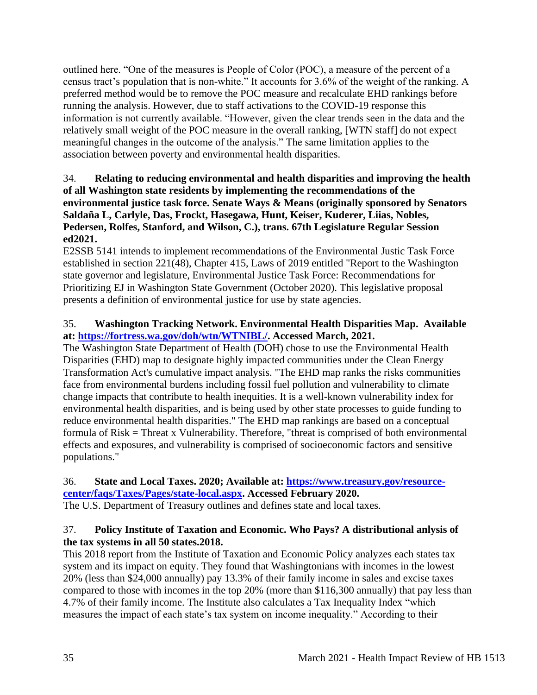outlined here. "One of the measures is People of Color (POC), a measure of the percent of a census tract's population that is non-white." It accounts for 3.6% of the weight of the ranking. A preferred method would be to remove the POC measure and recalculate EHD rankings before running the analysis. However, due to staff activations to the COVID-19 response this information is not currently available. "However, given the clear trends seen in the data and the relatively small weight of the POC measure in the overall ranking, [WTN staff] do not expect meaningful changes in the outcome of the analysis." The same limitation applies to the association between poverty and environmental health disparities.

## 34. **Relating to reducing environmental and health disparities and improving the health of all Washington state residents by implementing the recommendations of the environmental justice task force. Senate Ways & Means (originally sponsored by Senators Saldaña L, Carlyle, Das, Frockt, Hasegawa, Hunt, Keiser, Kuderer, Liias, Nobles, Pedersen, Rolfes, Stanford, and Wilson, C.), trans. 67th Legislature Regular Session ed2021.**

E2SSB 5141 intends to implement recommendations of the Environmental Justic Task Force established in section 221(48), Chapter 415, Laws of 2019 entitled "Report to the Washington state governor and legislature, Environmental Justice Task Force: Recommendations for Prioritizing EJ in Washington State Government (October 2020). This legislative proposal presents a definition of environmental justice for use by state agencies.

## 35. **Washington Tracking Network. Environmental Health Disparities Map. Available at: [https://fortress.wa.gov/doh/wtn/WTNIBL/.](https://fortress.wa.gov/doh/wtn/WTNIBL/) Accessed March, 2021.**

The Washington State Department of Health (DOH) chose to use the Environmental Health Disparities (EHD) map to designate highly impacted communities under the Clean Energy Transformation Act's cumulative impact analysis. "The EHD map ranks the risks communities face from environmental burdens including fossil fuel pollution and vulnerability to climate change impacts that contribute to health inequities. It is a well-known vulnerability index for environmental health disparities, and is being used by other state processes to guide funding to reduce environmental health disparities." The EHD map rankings are based on a conceptual formula of Risk = Threat x Vulnerability. Therefore, "threat is comprised of both environmental effects and exposures, and vulnerability is comprised of socioeconomic factors and sensitive populations."

#### 36. **State and Local Taxes. 2020; Available at: [https://www.treasury.gov/resource](https://www.treasury.gov/resource-center/faqs/Taxes/Pages/state-local.aspx)[center/faqs/Taxes/Pages/state-local.aspx.](https://www.treasury.gov/resource-center/faqs/Taxes/Pages/state-local.aspx) Accessed February 2020.**

The U.S. Department of Treasury outlines and defines state and local taxes.

# 37. **Policy Institute of Taxation and Economic. Who Pays? A distributional anlysis of the tax systems in all 50 states.2018.**

This 2018 report from the Institute of Taxation and Economic Policy analyzes each states tax system and its impact on equity. They found that Washingtonians with incomes in the lowest 20% (less than \$24,000 annually) pay 13.3% of their family income in sales and excise taxes compared to those with incomes in the top 20% (more than \$116,300 annually) that pay less than 4.7% of their family income. The Institute also calculates a Tax Inequality Index "which measures the impact of each state's tax system on income inequality." According to their